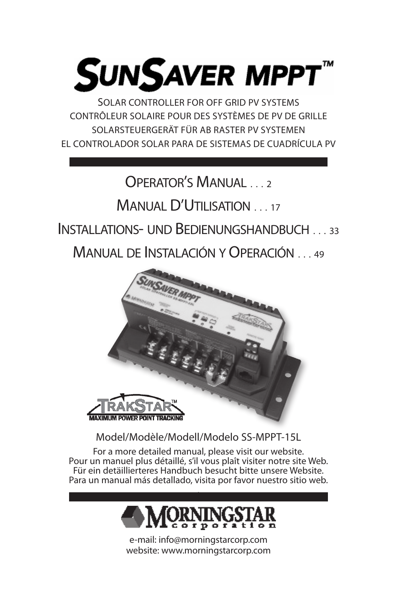

SOLAR CONTROLLER FOR OFF GRID PV SYSTEMS CONTRÔLEUR SOLAIRE POUR DES SYSTÈMES DE PV DE GRILLE SOLARSTEUERGERÄT FÜR AB RASTER PV SYSTEMEN EL CONTROLADOR SOLAR PARA DE SISTEMAS DE CUADRÍCULA PV

OPERATOR'S MANUAL 2 Manual D'Utilisation . . . 17 Installations- und Bedienungshandbuch . . . 33 MANUAL DE INSTALACIÓN Y OPERACIÓN 49



### Model/Modèle/Modell/Modelo SS-MPPT-15L

For a more detailed manual, please visit our website. Pour un manuel plus détaillé, s'il vous plaît visiter notre site Web. Für ein detäillierteres Handbuch besucht bitte unsere Website. Para un manual más detallado, visita por favor nuestro sitio web. .



e-mail: info@morningstarcorp.com website: www.morningstarcorp.com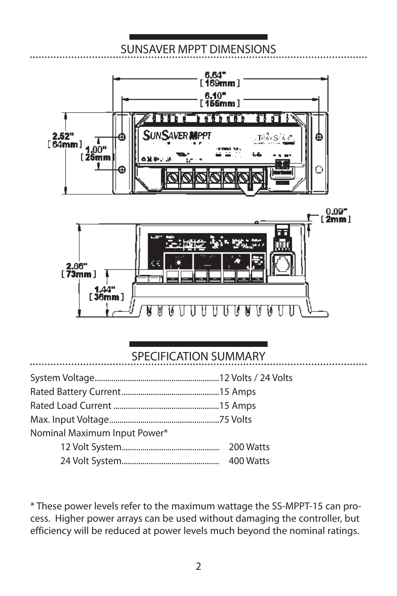SUNSAVER MPPT DIMENSIONS





# SPECIFICATION SUMMARY

\* These power levels refer to the maximum wattage the SS-MPPT-15 can process. Higher power arrays can be used without damaging the controller, but efficiency will be reduced at power levels much beyond the nominal ratings.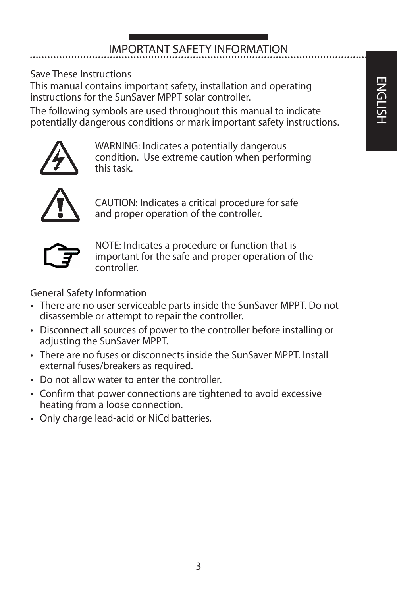# IMPORTANT SAFETY INFORMATION

Save These Instructions

This manual contains important safety, installation and operating instructions for the SunSaver MPPT solar controller.

The following symbols are used throughout this manual to indicate potentially dangerous conditions or mark important safety instructions.



WARNING: Indicates a potentially dangerous condition. Use extreme caution when performing this task.



CAUTION: Indicates a critical procedure for safe and proper operation of the controller.



NOTE: Indicates a procedure or function that is important for the safe and proper operation of the controller.

General Safety Information

- There are no user serviceable parts inside the SunSaver MPPT. Do not disassemble or attempt to repair the controller.
- • Disconnect all sources of power to the controller before installing or adjusting the SunSaver MPPT.
- There are no fuses or disconnects inside the SunSaver MPPT. Install external fuses/breakers as required.
- • Do not allow water to enter the controller.
- Confirm that power connections are tightened to avoid excessive heating from a loose connection.
- Only charge lead-acid or NiCd batteries.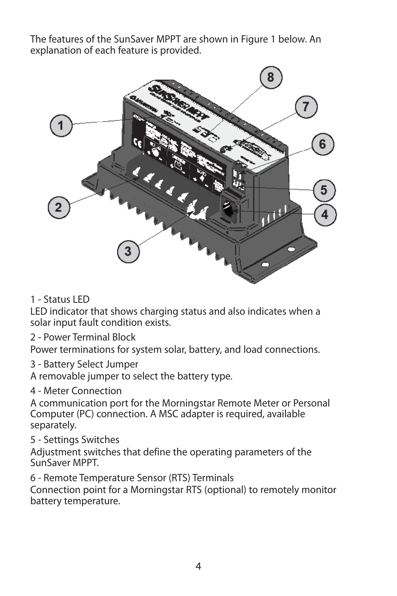The features of the SunSaver MPPT are shown in Figure 1 below. An explanation of each feature is provided.



### 1 - Status LED

LED indicator that shows charging status and also indicates when a solar input fault condition exists.

2 - Power Terminal Block

Power terminations for system solar, battery, and load connections.

3 - Battery Select Jumper

A removable jumper to select the battery type.

4 - Meter Connection

A communication port for the Morningstar Remote Meter or Personal Computer (PC) connection. A MSC adapter is required, available separately.

5 - Settings Switches

Adjustment switches that define the operating parameters of the SunSaver MPPT.

6 - Remote Temperature Sensor (RTS) Terminals

Connection point for a Morningstar RTS (optional) to remotely monitor battery temperature.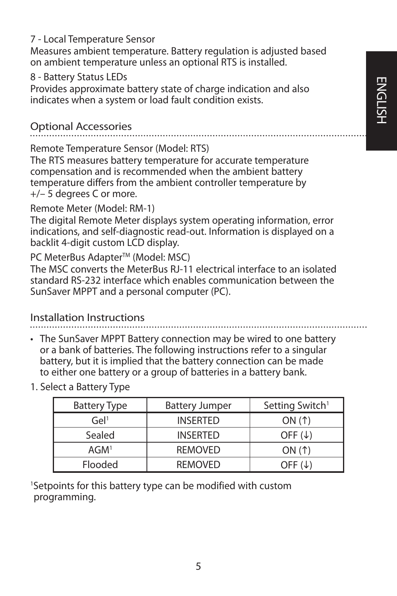### 7 - Local Temperature Sensor

Measures ambient temperature. Battery regulation is adjusted based on ambient temperature unless an optional RTS is installed.

### 8 - Battery Status LEDs

Provides approximate battery state of charge indication and also indicates when a system or load fault condition exists.

### Optional Accessories

#### Remote Temperature Sensor (Model: RTS)

The RTS measures battery temperature for accurate temperature compensation and is recommended when the ambient battery temperature differs from the ambient controller temperature by +/– 5 degrees C or more.

Remote Meter (Model: RM-1)

The digital Remote Meter displays system operating information, error indications, and self-diagnostic read-out. Information is displayed on a backlit 4-digit custom LCD display.

PC MeterBus Adapter™ (Model: MSC)

The MSC converts the MeterBus RJ-11 electrical interface to an isolated standard RS-232 interface which enables communication between the SunSaver MPPT and a personal computer (PC).

### Installation Instructions

- The SunSaver MPPT Battery connection may be wired to one battery or a bank of batteries. The following instructions refer to a singular battery, but it is implied that the battery connection can be made to either one battery or a group of batteries in a battery bank.
- 1. Select a Battery Type

| <b>Battery Type</b> | <b>Battery Jumper</b> | Setting Switch <sup>1</sup> |
|---------------------|-----------------------|-----------------------------|
| Gel <sup>1</sup>    | <b>INSERTED</b>       | ON(1)                       |
| Sealed              | <b>INSERTED</b>       | OFF $(1)$                   |
| AGM <sup>1</sup>    | <b>REMOVED</b>        | ON(1)                       |
| Flooded             | <b>REMOVED</b>        | OFF $(\downarrow)$          |

1 Setpoints for this battery type can be modified with custom programming.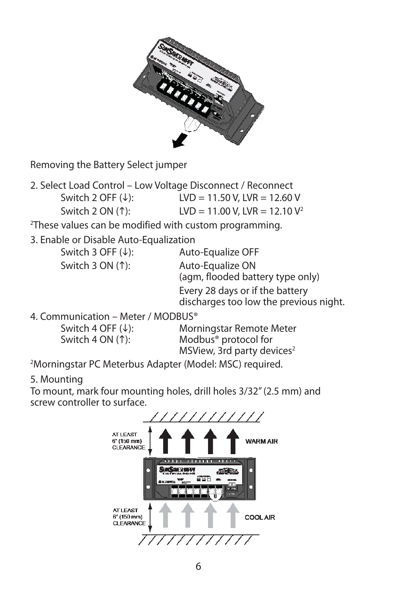

Removing the Battery Select jumper

| 2. Select Load Control - Low Voltage Disconnect / Reconnect |                                    |
|-------------------------------------------------------------|------------------------------------|
| Switch 2 OFF $(\downarrow)$ :                               | $LVD = 11.50 V$ , $LVR = 12.60 V$  |
| Switch $2 ON (1)$ :                                         | $LVD = 11.00 V$ , $LVR = 12.10 V2$ |

2 These values can be modified with custom programming.

3. Enable or Disable Auto-Equalization

Switch 3 OFF  $(\downarrow)$ : Auto-Equalize OFF Switch 3 ON (1): Auto-Equalize ON

(agm, flooded battery type only) Every 28 days or if the battery discharges too low the previous night.

4. Communication – Meter / MODBUS®<br>Switch 4 OFF (↓): Mori

Morningstar Remote Meter Switch 4 ON (1): Modbus<sup>®</sup> protocol for MSView, 3rd party devices<sup>2</sup>

2 Morningstar PC Meterbus Adapter (Model: MSC) required.

5. Mounting

To mount, mark four mounting holes, drill holes 3/32" (2.5 mm) and screw controller to surface.

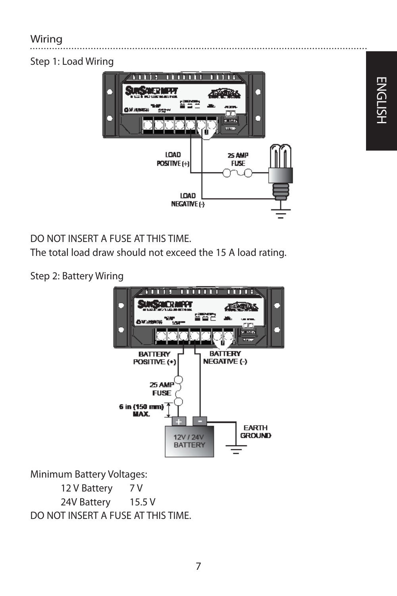### Wiring

### Step 1: Load Wiring



DO NOT INSERT A FUSE AT THIS TIME.

The total load draw should not exceed the 15 A load rating.

Step 2: Battery Wiring



Minimum Battery Voltages: 12 V Battery 7 V 24V Battery 15.5 V DO NOT INSERT A FUSE AT THIS TIME.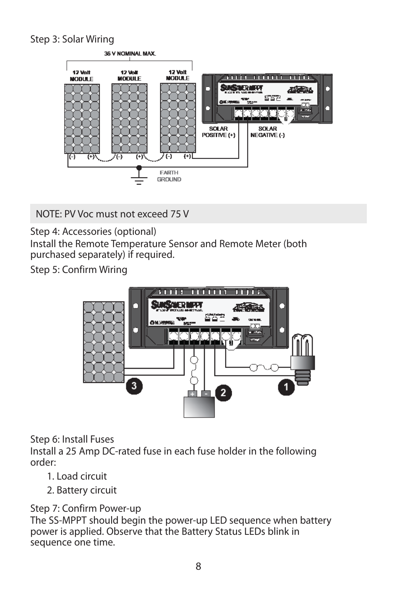### Step 3: Solar Wiring



NOTE: PV Voc must not exceed 75 V

Step 4: Accessories (optional)

Install the Remote Temperature Sensor and Remote Meter (both purchased separately) if required.

Step 5: Confirm Wiring



Step 6: Install Fuses

Install a 25 Amp DC-rated fuse in each fuse holder in the following order:

- 1. Load circuit
- 2. Battery circuit

Step 7: Confirm Power-up

The SS-MPPT should begin the power-up LED sequence when battery power is applied. Observe that the Battery Status LEDs blink in sequence one time.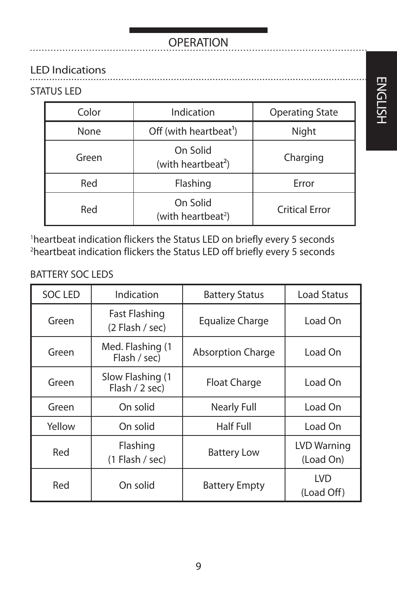# LED Indications

### STATUS LED

| Color | Indication                                             | <b>Operating State</b> |
|-------|--------------------------------------------------------|------------------------|
| None  | Off (with heartbeat <sup>1</sup> )                     | Night                  |
| Green | On Solid<br>Charging<br>(with heartbeat <sup>2</sup> ) |                        |
| Red   | Flashing                                               | Error                  |
| Red   | On Solid<br>(with heartbeat <sup>2</sup> )             | <b>Critical Error</b>  |

1 heartbeat indication flickers the Status LED on briefly every 5 seconds 2 heartbeat indication flickers the Status LED off briefly every 5 seconds

### BATTERY SOC LEDS

| <b>SOC LED</b> | Indication                              | <b>Battery Status</b>    | <b>Load Status</b>       |
|----------------|-----------------------------------------|--------------------------|--------------------------|
| Green          | <b>Fast Flashing</b><br>(2 Flash / sec) | Equalize Charge          | Load On                  |
| Green          | Med. Flashing (1<br>Flash / sec)        | <b>Absorption Charge</b> | Load On                  |
| Green          | Slow Flashing (1<br>Flash / 2 sec)      | Float Charge             | Load On                  |
| Green          | On solid                                | Nearly Full              | Load On                  |
| Yellow         | On solid                                | Half Full                | Load On                  |
| Red            | Flashing<br>$(1$ Flash / sec)           | <b>Battery Low</b>       | LVD Warning<br>(Load On) |
| Red            | On solid                                | <b>Battery Empty</b>     | <b>LVD</b><br>(Load Off) |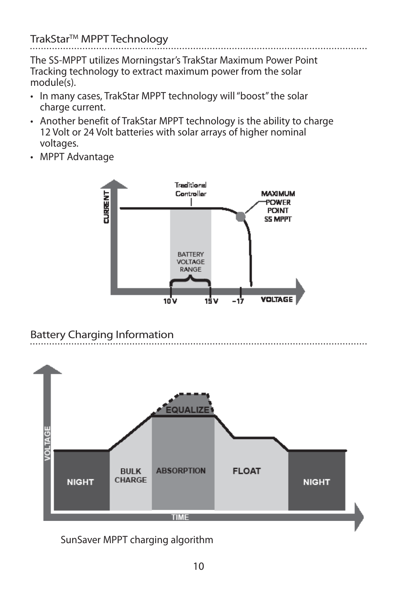The SS-MPPT utilizes Morningstar's TrakStar Maximum Power Point Tracking technology to extract maximum power from the solar module(s).

- In many cases, TrakStar MPPT technology will "boost" the solar charge current.
- Another benefit of TrakStar MPPT technology is the ability to charge 12 Volt or 24 Volt batteries with solar arrays of higher nominal voltages.
- MPPT Advantage



### Battery Charging Information



SunSaver MPPT charging algorithm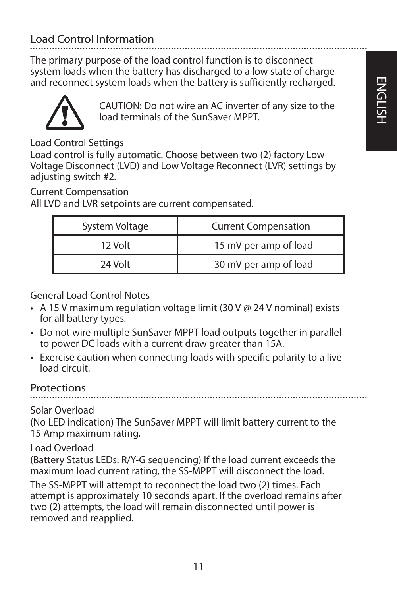### Load Control Information

The primary purpose of the load control function is to disconnect system loads when the battery has discharged to a low state of charge and reconnect system loads when the battery is sufficiently recharged.



CAUTION: Do not wire an AC inverter of any size to the load terminals of the SunSaver MPPT.

Load Control Settings

Load control is fully automatic. Choose between two (2) factory Low Voltage Disconnect (LVD) and Low Voltage Reconnect (LVR) settings by adjusting switch #2.

Current Compensation

All LVD and LVR setpoints are current compensated.

| System Voltage | <b>Current Compensation</b> |
|----------------|-----------------------------|
| 12 Volt        | -15 mV per amp of load      |
| 24 Volt        | -30 mV per amp of load      |

General Load Control Notes

- A 15 V maximum regulation voltage limit (30 V  $\omega$  24 V nominal) exists for all battery types.
- Do not wire multiple SunSaver MPPT load outputs together in parallel to power DC loads with a current draw greater than 15A.
- Exercise caution when connecting loads with specific polarity to a live load circuit.

### **Protections**

Solar Overload

(No LED indication) The SunSaver MPPT will limit battery current to the 15 Amp maximum rating.

Load Overload

(Battery Status LEDs: R/Y-G sequencing) If the load current exceeds the maximum load current rating, the SS-MPPT will disconnect the load.

The SS-MPPT will attempt to reconnect the load two (2) times. Each attempt is approximately 10 seconds apart. If the overload remains after two (2) attempts, the load will remain disconnected until power is removed and reapplied.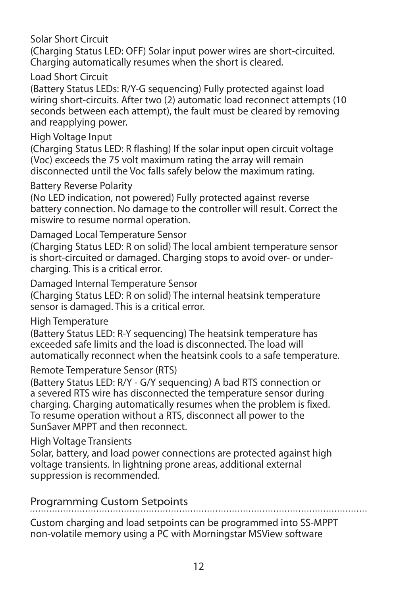### Solar Short Circuit

(Charging Status LED: OFF) Solar input power wires are short-circuited. Charging automatically resumes when the short is cleared.

### Load Short Circuit

(Battery Status LEDs: R/Y-G sequencing) Fully protected against load wiring short-circuits. After two (2) automatic load reconnect attempts (10 seconds between each attempt), the fault must be cleared by removing and reapplying power.

### High Voltage Input

(Charging Status LED: R flashing) If the solar input open circuit voltage (Voc) exceeds the 75 volt maximum rating the array will remain disconnected until the Voc falls safely below the maximum rating.

Battery Reverse Polarity

(No LED indication, not powered) Fully protected against reverse battery connection. No damage to the controller will result. Correct the miswire to resume normal operation.

Damaged Local Temperature Sensor

(Charging Status LED: R on solid) The local ambient temperature sensor is short-circuited or damaged. Charging stops to avoid over- or undercharging. This is a critical error.

Damaged Internal Temperature Sensor

(Charging Status LED: R on solid) The internal heatsink temperature sensor is damaged. This is a critical error.

### High Temperature

(Battery Status LED: R-Y sequencing) The heatsink temperature has exceeded safe limits and the load is disconnected. The load will automatically reconnect when the heatsink cools to a safe temperature.

### Remote Temperature Sensor (RTS)

(Battery Status LED: R/Y - G/Y sequencing) A bad RTS connection or a severed RTS wire has disconnected the temperature sensor during charging. Charging automatically resumes when the problem is fixed. To resume operation without a RTS, disconnect all power to the SunSaver MPPT and then reconnect.

High Voltage Transients

Solar, battery, and load power connections are protected against high voltage transients. In lightning prone areas, additional external suppression is recommended.

### Programming Custom Setpoints

Custom charging and load setpoints can be programmed into SS-MPPT non-volatile memory using a PC with Morningstar MSView software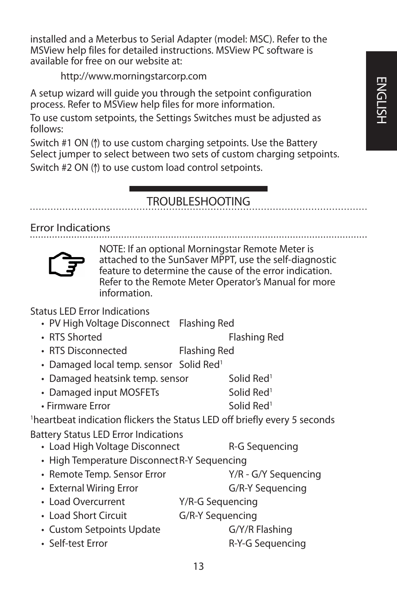installed and a Meterbus to Serial Adapter (model: MSC). Refer to the MSView help files for detailed instructions. MSView PC software is available for free on our website at:

http://www.morningstarcorp.com

A setup wizard will guide you through the setpoint configuration process. Refer to MSView help files for more information.

To use custom setpoints, the Settings Switches must be adjusted as follows:

Switch #1 ON (1) to use custom charging setpoints. Use the Battery Select jumper to select between two sets of custom charging setpoints. Switch #2 ON (1) to use custom load control setpoints.

### TROUBLESHOOTING

### Error Indications



NOTE: If an optional Morningstar Remote Meter is attached to the SunSaver MPPT, use the self-diagnostic feature to determine the cause of the error indication. Refer to the Remote Meter Operator's Manual for more information.

Status LED Error Indications

- PV High Voltage Disconnect Flashing Red
- RTS Shorted Flashing Red
- RTS Disconnected Flashing Red
- Damaged local temp. sensor Solid Red<sup>1</sup>
- Damaged heatsink temp. sensor Solid Red<sup>1</sup>
- Damaged input MOSFETs Solid Red<sup>1</sup>
- Firmware Frror Solid Red<sup>1</sup>

1 heartbeat indication flickers the Status LED off briefly every 5 seconds

Battery Status LED Error Indications

- Load High Voltage Disconnect R-G Sequencing
- High Temperature DisconnectR-Y Sequencing
- Remote Temp. Sensor Error Y/R G/Y Sequencing
- External Wiring Error G/R-Y Sequencing
- 
- 
- Load Overcurrent Y/R-G Sequencing
- Load Short Circuit **G/R-Y Sequencing**
- Custom Setpoints Update G/Y/R Flashing
- 
- 
- Self-test Error R-Y-G Sequencing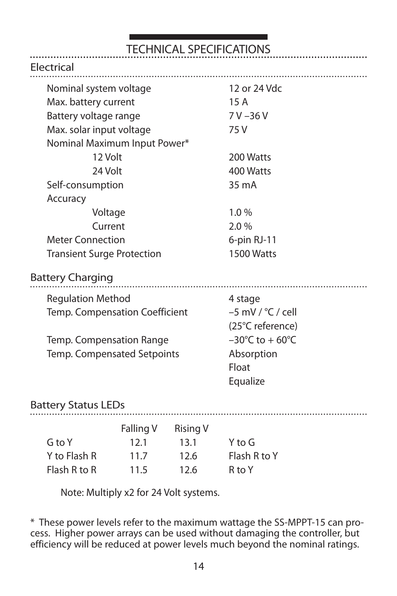# TECHNICAL SPECIFICATIONS

| Electrical                        |                                      |
|-----------------------------------|--------------------------------------|
| Nominal system voltage            | 12 or 24 Vdc                         |
| Max. battery current              | 15A                                  |
| Battery voltage range             | $7V - 36V$                           |
| Max. solar input voltage          | 75 V                                 |
| Nominal Maximum Input Power*      |                                      |
| 12 Volt                           | 200 Watts                            |
| 24 Volt                           | 400 Watts                            |
| Self-consumption                  | 35 mA                                |
| Accuracy                          |                                      |
| Voltage                           | 1.0%                                 |
| Current                           | 2.0%                                 |
| <b>Meter Connection</b>           | 6-pin RJ-11                          |
| <b>Transient Surge Protection</b> | 1500 Watts                           |
| <b>Battery Charging</b>           |                                      |
| <b>Regulation Method</b>          | 4 stage                              |
| Temp. Compensation Coefficient    | $-5$ mV / $°C$ / cell                |
|                                   | (25°C reference)                     |
| Temp. Compensation Range          | $-30^{\circ}$ C to + 60 $^{\circ}$ C |
| Temp. Compensated Setpoints       | Absorption                           |
|                                   | Float                                |
|                                   | Equalize                             |
|                                   |                                      |

### Battery Status LEDs

|              | Falling V | <b>Rising V</b> |              |
|--------------|-----------|-----------------|--------------|
| G to Y       | 12.1      | 13.1            | Y to G       |
| Y to Flash R | 11.7      | 12.6            | Flash R to Y |
| Flash R to R | 11.5      | 12.6            | R to Y       |

Note: Multiply x2 for 24 Volt systems.

\* These power levels refer to the maximum wattage the SS-MPPT-15 can process. Higher power arrays can be used without damaging the controller, but efficiency will be reduced at power levels much beyond the nominal ratings.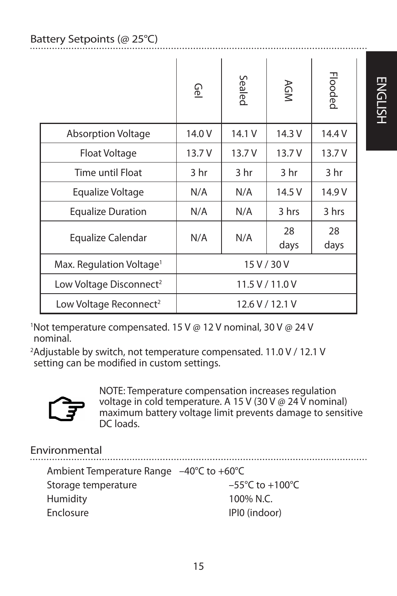|                                      | இ                   | Sealed | <b>AGM</b> | Flooded    |
|--------------------------------------|---------------------|--------|------------|------------|
| <b>Absorption Voltage</b>            | 14.0 V              | 14.1 V | 14.3 V     | 14.4 V     |
| Float Voltage                        | 13.7 V              | 13.7 V | 13.7 V     | 13.7 V     |
| Time until Float                     | 3 hr                | 3 hr   | 3 hr       | 3 hr       |
| Equalize Voltage                     | N/A                 | N/A    | 14.5 V     | 14.9 V     |
| <b>Equalize Duration</b>             | 3 hrs<br>N/A<br>N/A |        | 3 hrs      |            |
| Equalize Calendar                    | N/A                 | N/A    | 28<br>days | 28<br>days |
| Max. Regulation Voltage <sup>1</sup> | 15 V / 30 V         |        |            |            |
| Low Voltage Disconnect <sup>2</sup>  | 11.5 V / 11.0 V     |        |            |            |
| Low Voltage Reconnect <sup>2</sup>   | 12.6 V / 12.1 V     |        |            |            |

1 Not temperature compensated. 15 V @ 12 V nominal, 30 V @ 24 V nominal.

2 Adjustable by switch, not temperature compensated. 11.0 V / 12.1 V setting can be modified in custom settings.



NOTE: Temperature compensation increases regulation voltage in cold temperature. A 15 V (30 V @ 24 V nominal) maximum battery voltage limit prevents damage to sensitive DC loads.

| Environmental                                                |                                     |
|--------------------------------------------------------------|-------------------------------------|
| Ambient Temperature Range $-40^{\circ}$ C to $+60^{\circ}$ C |                                     |
| Storage temperature                                          | $-55^{\circ}$ C to $+100^{\circ}$ C |
| Humidity                                                     | 100% N.C.                           |
| <b>Enclosure</b>                                             | IPIO (indoor)                       |
|                                                              |                                     |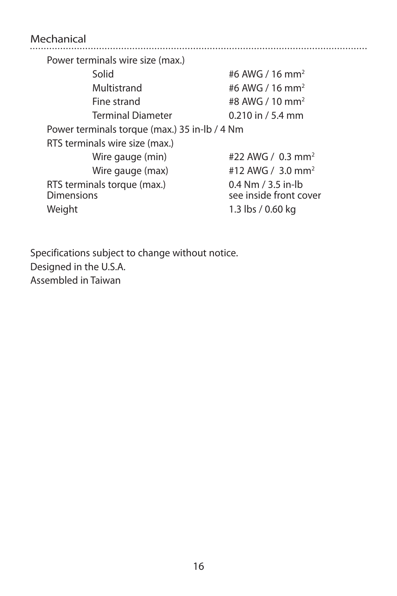# Mechanical

| Power terminals wire size (max.)              |                                 |
|-----------------------------------------------|---------------------------------|
| Solid                                         | #6 AWG / 16 mm <sup>2</sup>     |
| Multistrand                                   | #6 AWG / 16 mm <sup>2</sup>     |
| Fine strand                                   | #8 AWG / 10 mm <sup>2</sup>     |
| <b>Terminal Diameter</b>                      | $0.210$ in $/5.4$ mm            |
| Power terminals torque (max.) 35 in-lb / 4 Nm |                                 |
| RTS terminals wire size (max.)                |                                 |
| Wire gauge (min)                              | #22 AWG / $0.3$ mm <sup>2</sup> |
| Wire gauge (max)                              | #12 AWG / 3.0 mm <sup>2</sup>   |
| RTS terminals torque (max.)                   | $0.4$ Nm $/$ 3.5 in-lb          |
| <b>Dimensions</b>                             | see inside front cover          |
| Weight                                        | 1.3 lbs / 0.60 kg               |

Specifications subject to change without notice. Designed in the U.S.A. Assembled in Taiwan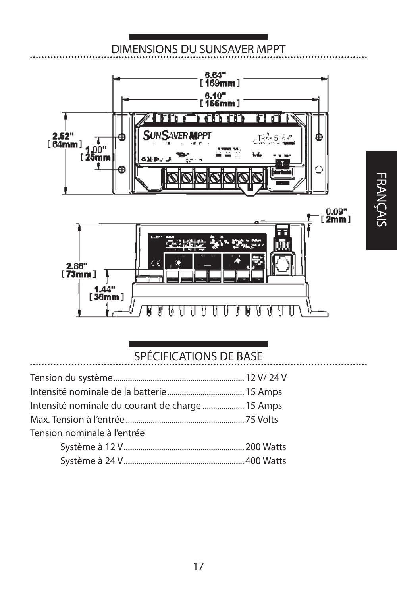DIMENSIONS DU SUNSAVER MPPT





# SPÉCIFICATIONS DE BASE

| Intensité nominale du courant de charge  15 Amps |  |
|--------------------------------------------------|--|
|                                                  |  |
| Tension nominale à l'entrée                      |  |
|                                                  |  |
|                                                  |  |
|                                                  |  |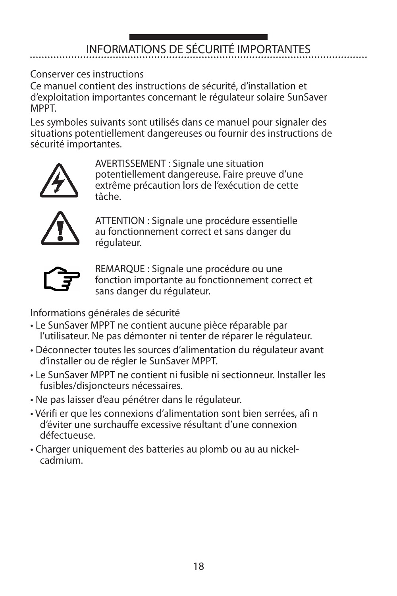# INFORMATIONS DE SÉCURITÉ IMPORTANTES

Conserver ces instructions

Ce manuel contient des instructions de sécurité, d'installation et d'exploitation importantes concernant le régulateur solaire SunSaver MPPT.

Les symboles suivants sont utilisés dans ce manuel pour signaler des situations potentiellement dangereuses ou fournir des instructions de sécurité importantes.



AVERTISSEMENT : Signale une situation potentiellement dangereuse. Faire preuve d'une extrême précaution lors de l'exécution de cette tâche.



ATTENTION : Signale une procédure essentielle au fonctionnement correct et sans danger du régulateur.



REMARQUE : Signale une procédure ou une fonction importante au fonctionnement correct et sans danger du régulateur.

Informations générales de sécurité

- Le SunSaver MPPT ne contient aucune pièce réparable par l'utilisateur. Ne pas démonter ni tenter de réparer le régulateur.
- Déconnecter toutes les sources d'alimentation du régulateur avant d'installer ou de régler le SunSaver MPPT.
- Le SunSaver MPPT ne contient ni fusible ni sectionneur. Installer les fusibles/disjoncteurs nécessaires.
- Ne pas laisser d'eau pénétrer dans le régulateur.
- Vérifi er que les connexions d'alimentation sont bien serrées, afi n d'éviter une surchauffe excessive résultant d'une connexion défectueuse.
- Charger uniquement des batteries au plomb ou au au nickelcadmium.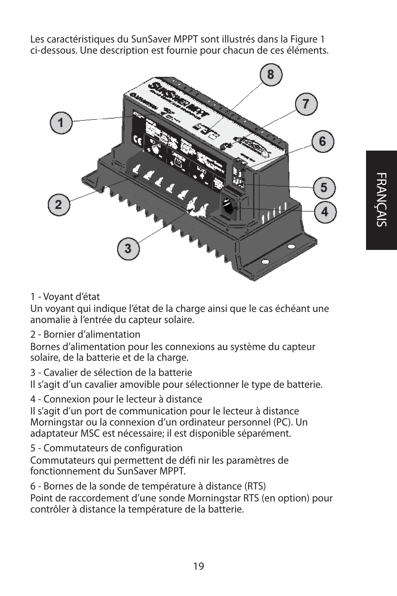Les caractéristiques du SunSaver MPPT sont illustrés dans la Figure 1 ci-dessous. Une description est fournie pour chacun de ces éléments.



### 1 - Voyant d'état

Un voyant qui indique l'état de la charge ainsi que le cas échéant une anomalie à l'entrée du capteur solaire.

### 2 - Bornier d'alimentation

Bornes d'alimentation pour les connexions au système du capteur solaire, de la batterie et de la charge.

3 - Cavalier de sélection de la batterie

Il s'agit d'un cavalier amovible pour sélectionner le type de batterie.

### 4 - Connexion pour le lecteur à distance

Il s'agit d'un port de communication pour le lecteur à distance Morningstar ou la connexion d'un ordinateur personnel (PC). Un adaptateur MSC est nécessaire; il est disponible séparément.

5 - Commutateurs de configuration

Commutateurs qui permettent de défi nir les paramètres de fonctionnement du SunSaver MPPT.

6 - Bornes de la sonde de température à distance (RTS)

Point de raccordement d'une sonde Morningstar RTS (en option) pour contrôler à distance la température de la batterie.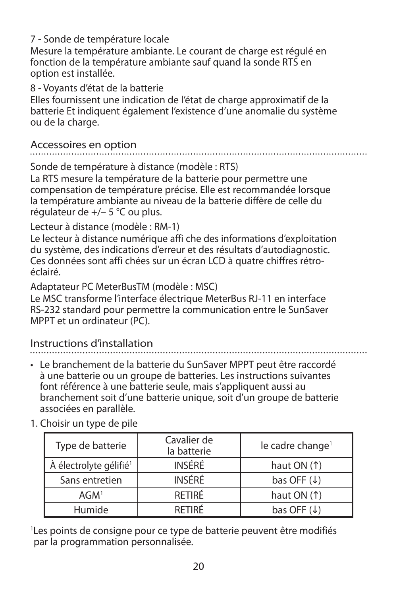### 7 - Sonde de température locale

Mesure la température ambiante. Le courant de charge est régulé en fonction de la température ambiante sauf quand la sonde RTS en option est installée.

### 8 - Voyants d'état de la batterie

Elles fournissent une indication de l'état de charge approximatif de la batterie Et indiquent également l'existence d'une anomalie du système ou de la charge.

### Accessoires en option

Sonde de température à distance (modèle : RTS)

La RTS mesure la température de la batterie pour permettre une compensation de température précise. Elle est recommandée lorsque la température ambiante au niveau de la batterie diffère de celle du régulateur de +/– 5 °C ou plus.

Lecteur à distance (modèle : RM-1)

Le lecteur à distance numérique affi che des informations d'exploitation du système, des indications d'erreur et des résultats d'autodiagnostic. Ces données sont affi chées sur un écran LCD à quatre chiffres rétroéclairé.

Adaptateur PC MeterBusTM (modèle : MSC)

Le MSC transforme l'interface électrique MeterBus RJ-11 en interface RS-232 standard pour permettre la communication entre le SunSaver MPPT et un ordinateur (PC).

### Instructions d'installation

• Le branchement de la batterie du SunSaver MPPT peut être raccordé à une batterie ou un groupe de batteries. Les instructions suivantes font référence à une batterie seule, mais s'appliquent aussi au branchement soit d'une batterie unique, soit d'un groupe de batterie associées en parallèle.

| Type de batterie                   | Cavalier de<br>la batterie | le cadre change <sup>1</sup> |
|------------------------------------|----------------------------|------------------------------|
| À électrolyte gélifié <sup>1</sup> | INSÉRÉ                     | haut ON (1)                  |
| Sans entretien                     | INSÉRÉ                     | bas OFF $(\downarrow)$       |
| AGM <sup>1</sup>                   | RFTIRÉ                     | haut ON (1)                  |
| Humide                             | RFTIRÉ                     | bas OFF $(\downarrow)$       |

1. Choisir un type de pile

1 Les points de consigne pour ce type de batterie peuvent être modifiés par la programmation personnalisée.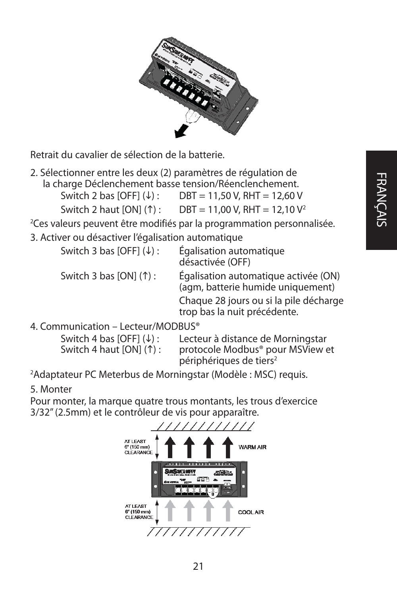

Retrait du cavalier de sélection de la batterie.

| 2. Sélectionner entre les deux (2) paramètres de régulation de |                                             |  |
|----------------------------------------------------------------|---------------------------------------------|--|
| la charge Déclenchement basse tension/Réenclenchement.         |                                             |  |
| Switch 2 bas [OFF] $(\downarrow)$ :                            | $DBT = 11.50$ V, RHT = 12.60 V              |  |
| Switch 2 haut [ON] (1):                                        | $DBT = 11,00$ V, RHT = 12,10 V <sup>2</sup> |  |

2 Ces valeurs peuvent être modifiés par la programmation personnalisée.

### 3. Activer ou désactiver l'égalisation automatique

| Switch 3 bas [OFF] $(\downarrow)$ : | Égalisation automatique<br>désactivée (OFF)                                                                                                         |
|-------------------------------------|-----------------------------------------------------------------------------------------------------------------------------------------------------|
| Switch 3 bas [ON] (1):              | Égalisation automatique activée (ON)<br>(agm, batterie humide uniquement)<br>Chaque 28 jours ou si la pile décharge<br>trop bas la nuit précédente. |

4. Communication – Lecteur/MODBUS®<br>Switch 4 bas [OFF] (↓) : Lecte

Switch 4 bas [OFF]  $(\downarrow)$  : Lecteur à distance de Morningstar<br>Switch 4 haut [ON] (1) : protocole Modbus® pour MSView e protocole Modbus® pour MSView et périphériques de tiers<sup>2</sup>

2 Adaptateur PC Meterbus de Morningstar (Modèle : MSC) requis.

5. Monter

Pour monter, la marque quatre trous montants, les trous d'exercice 3/32" (2.5mm) et le contrôleur de vis pour apparaître.

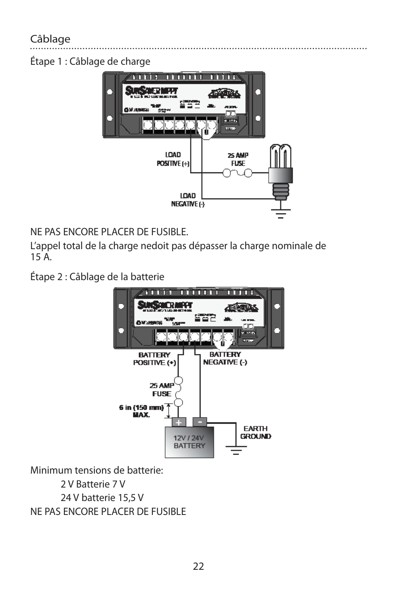Câblage

Étape 1 : Câblage de charge



NE PAS ENCORE PLACER DE FUSIBLE.

L'appel total de la charge nedoit pas dépasser la charge nominale de 15 A.

Étape 2 : Câblage de la batterie



Minimum tensions de batterie:

2 V Batterie 7 V

24 V batterie 15,5 V

NE PAS ENCORE PLACER DE FUSIBLE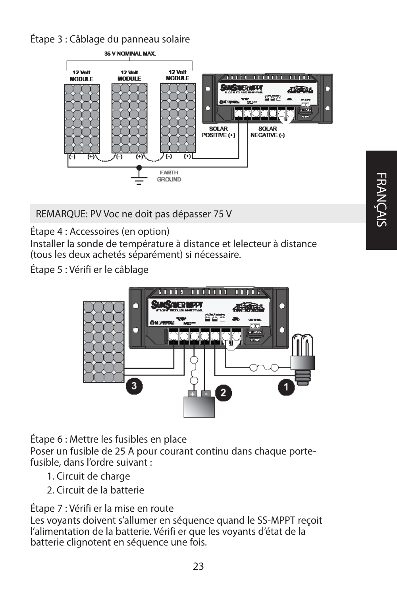### Étape 3 : Câblage du panneau solaire



REMARQUE: PV Voc ne doit pas dépasser 75 V

Étape 4 : Accessoires (en option)

Installer la sonde de température à distance et lelecteur à distance (tous les deux achetés séparément) si nécessaire.

Étape 5 : Vérifi er le câblage



Étape 6 : Mettre les fusibles en place

Poser un fusible de 25 A pour courant continu dans chaque portefusible, dans l'ordre suivant :

- 1. Circuit de charge
- 2. Circuit de la batterie

Étape 7 : Vérifi er la mise en route

Les voyants doivent s'allumer en séquence quand le SS-MPPT reçoit l'alimentation de la batterie. Vérifi er que les voyants d'état de la batterie clignotent en séquence une fois.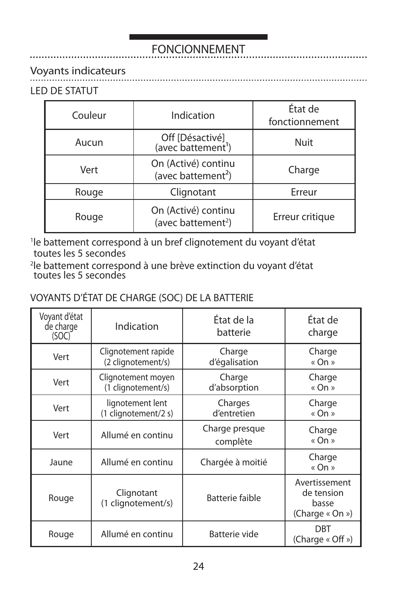# FONCIONNEMENT

. . . . . . . . . . . . .

### Voyants indicateurs

### LED DE STATUT

| Couleur | Indication                                            | État de<br>fonctionnement |
|---------|-------------------------------------------------------|---------------------------|
| Aucun   | Off [Désactivé]<br>(avec battement <sup>1</sup> )     | Nuit                      |
| Vert    | On (Activé) continu<br>(avec battement <sup>2</sup> ) | Charge                    |
| Rouge   | Clignotant                                            | Erreur                    |
| Rouge   | On (Activé) continu<br>(avec battement <sup>2</sup> ) | Erreur critique           |

1 le battement correspond à un bref clignotement du voyant d'état toutes les 5 secondes

2 le battement correspond à une brève extinction du voyant d'état toutes les 5 secondes

### VOYANTS D'ÉTAT DE CHARGE (SOC) DE LA BATTERIE

| Voyant d'état<br>de charge<br>(SOC) | Indication                                | État de la<br>batterie     | État de<br>charge                                       |
|-------------------------------------|-------------------------------------------|----------------------------|---------------------------------------------------------|
| Vert                                | Clignotement rapide<br>(2 clignotement/s) | Charge<br>d'égalisation    | Charge<br>« On »                                        |
| Vert                                | Clignotement moyen<br>(1 clignotement/s)  | Charge<br>d'absorption     | Charge<br>« On »                                        |
| Vert                                | lignotement lent<br>(1 clignotement/2 s)  | Charges<br>d'entretien     | Charge<br>« On »                                        |
| Vert                                | Allumé en continu                         | Charge presque<br>complète | Charge<br>« On »                                        |
| Jaune                               | Allumé en continu                         | Chargée à moitié           | Charge<br>« On »                                        |
| Rouge                               | Clignotant<br>(1 clignotement/s)          | <b>Batterie faible</b>     | Avertissement<br>de tension<br>basse<br>(Charge « On ») |
| Rouge                               | Allumé en continu                         | <b>Batterie vide</b>       | <b>DBT</b><br>(Charge « Off »)                          |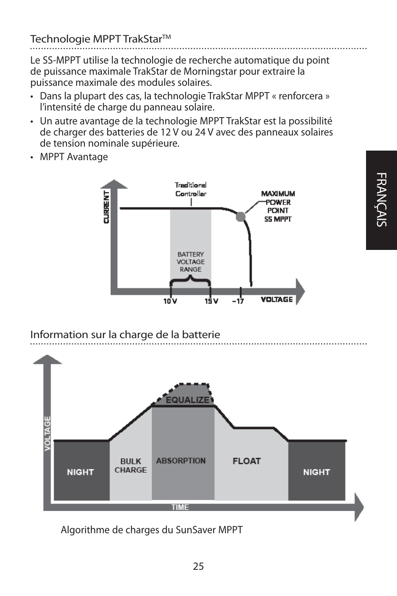Le SS-MPPT utilise la technologie de recherche automatique du point de puissance maximale TrakStar de Morningstar pour extraire la puissance maximale des modules solaires.

- • Dans la plupart des cas, la technologie TrakStar MPPT « renforcera » l'intensité de charge du panneau solaire.
- • Un autre avantage de la technologie MPPT TrakStar est la possibilité de charger des batteries de 12 V ou 24 V avec des panneaux solaires de tension nominale supérieure.
- • MPPT Avantage



# Information sur la charge de la batterie



Algorithme de charges du SunSaver MPPT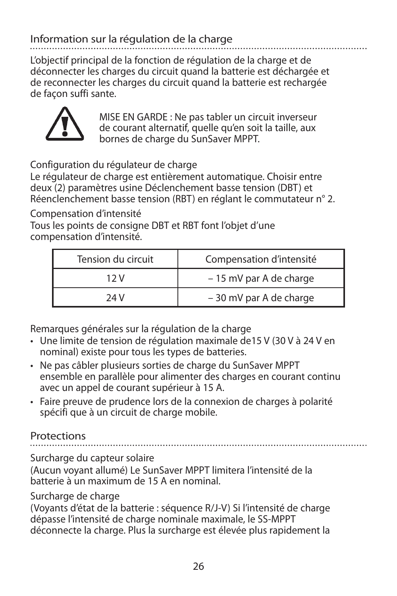L'objectif principal de la fonction de régulation de la charge et de déconnecter les charges du circuit quand la batterie est déchargée et de reconnecter les charges du circuit quand la batterie est rechargée de façon suffi sante.



MISE EN GARDE : Ne pas tabler un circuit inverseur de courant alternatif, quelle qu'en soit la taille, aux bornes de charge du SunSaver MPPT.

Configuration du régulateur de charge

Le régulateur de charge est entièrement automatique. Choisir entre deux (2) paramètres usine Déclenchement basse tension (DBT) et Réenclenchement basse tension (RBT) en réglant le commutateur n° 2.

Compensation d'intensité

Tous les points de consigne DBT et RBT font l'objet d'une compensation d'intensité.

| Tension du circuit | Compensation d'intensité |
|--------------------|--------------------------|
| 12 V               | -15 mV par A de charge   |
| 24M                | -30 mV par A de charge   |

Remarques générales sur la régulation de la charge

- • Une limite de tension de régulation maximale de15 V (30 V à 24 V en nominal) existe pour tous les types de batteries.
- Ne pas câbler plusieurs sorties de charge du SunSaver MPPT ensemble en parallèle pour alimenter des charges en courant continu avec un appel de courant supérieur à 15 A.
- Faire preuve de prudence lors de la connexion de charges à polarité spécifi que à un circuit de charge mobile.

**Protections** 

Surcharge du capteur solaire (Aucun voyant allumé) Le SunSaver MPPT limitera l'intensité de la batterie à un maximum de 15 A en nominal.

Surcharge de charge

(Voyants d'état de la batterie : séquence R/J-V) Si l'intensité de charge dépasse l'intensité de charge nominale maximale, le SS-MPPT déconnecte la charge. Plus la surcharge est élevée plus rapidement la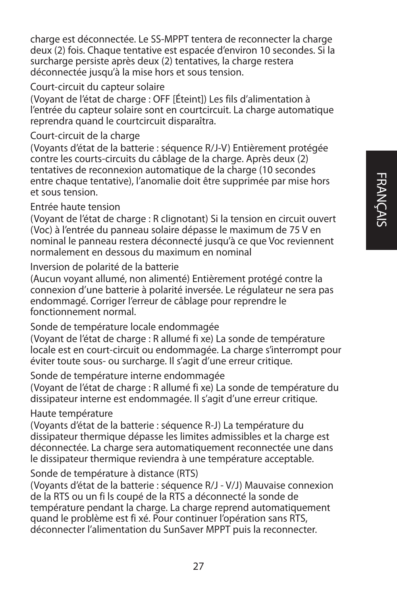charge est déconnectée. Le SS-MPPT tentera de reconnecter la charge deux (2) fois. Chaque tentative est espacée d'environ 10 secondes. Si la surcharge persiste après deux (2) tentatives, la charge restera déconnectée jusqu'à la mise hors et sous tension.

Court-circuit du capteur solaire

(Voyant de l'état de charge : OFF [Éteint]) Les fils d'alimentation à l'entrée du capteur solaire sont en courtcircuit. La charge automatique reprendra quand le courtcircuit disparaîtra.

### Court-circuit de la charge

(Voyants d'état de la batterie : séquence R/J-V) Entièrement protégée contre les courts-circuits du câblage de la charge. Après deux (2) tentatives de reconnexion automatique de la charge (10 secondes entre chaque tentative), l'anomalie doit être supprimée par mise hors et sous tension.

### Entrée haute tension

(Voyant de l'état de charge : R clignotant) Si la tension en circuit ouvert (Voc) à l'entrée du panneau solaire dépasse le maximum de 75 V en nominal le panneau restera déconnecté jusqu'à ce que Voc reviennent normalement en dessous du maximum en nominal

#### Inversion de polarité de la batterie

(Aucun voyant allumé, non alimenté) Entièrement protégé contre la connexion d'une batterie à polarité inversée. Le régulateur ne sera pas endommagé. Corriger l'erreur de câblage pour reprendre le fonctionnement normal.

Sonde de température locale endommagée

(Voyant de l'état de charge : R allumé fi xe) La sonde de température locale est en court-circuit ou endommagée. La charge s'interrompt pour éviter toute sous- ou surcharge. Il s'agit d'une erreur critique.

Sonde de température interne endommagée

(Voyant de l'état de charge : R allumé fi xe) La sonde de température du dissipateur interne est endommagée. Il s'agit d'une erreur critique.

### Haute température

(Voyants d'état de la batterie : séquence R-J) La température du dissipateur thermique dépasse les limites admissibles et la charge est déconnectée. La charge sera automatiquement reconnectée une dans le dissipateur thermique reviendra à une température acceptable.

Sonde de température à distance (RTS)

(Voyants d'état de la batterie : séquence R/J - V/J) Mauvaise connexion de la RTS ou un fi ls coupé de la RTS a déconnecté la sonde de température pendant la charge. La charge reprend automatiquement quand le problème est fi xé. Pour continuer l'opération sans RTS, déconnecter l'alimentation du SunSaver MPPT puis la reconnecter.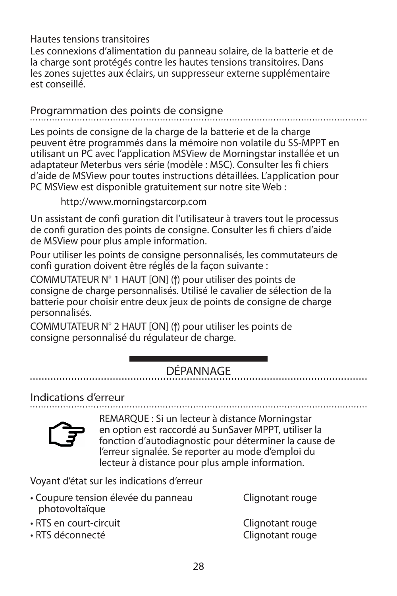Hautes tensions transitoires

Les connexions d'alimentation du panneau solaire, de la batterie et de la charge sont protégés contre les hautes tensions transitoires. Dans les zones sujettes aux éclairs, un suppresseur externe supplémentaire est conseillé.

Programmation des points de consigne

Les points de consigne de la charge de la batterie et de la charge peuvent être programmés dans la mémoire non volatile du SS-MPPT en utilisant un PC avec l'application MSView de Morningstar installée et un adaptateur Meterbus vers série (modèle : MSC). Consulter les fi chiers d'aide de MSView pour toutes instructions détaillées. L'application pour PC MSView est disponible gratuitement sur notre site Web :

http://www.morningstarcorp.com

Un assistant de confi guration dit l'utilisateur à travers tout le processus de confi guration des points de consigne. Consulter les fi chiers d'aide de MSView pour plus ample information.

Pour utiliser les points de consigne personnalisés, les commutateurs de confi guration doivent être réglés de la façon suivante :

COMMUTATEUR N° 1 HAUT [ON] (1) pour utiliser des points de consigne de charge personnalisés. Utilisé le cavalier de sélection de la batterie pour choisir entre deux jeux de points de consigne de charge personnalisés.

COMMUTATEUR N° 2 HAUT [ON] ( ) pour utiliser les points de consigne personnalisé du régulateur de charge.

# DÉPANNAGE

### Indications d'erreur



REMARQUE : Si un lecteur à distance Morningstar en option est raccordé au SunSaver MPPT, utiliser la fonction d'autodiagnostic pour déterminer la cause de l'erreur signalée. Se reporter au mode d'emploi du lecteur à distance pour plus ample information.

Voyant d'état sur les indications d'erreur

• Coupure tension élevée du panneau photovoltaïque

• RTS en court-circuit Clignotant rouge

• RTS déconnecté Clignotant rouge

Clignotant rouge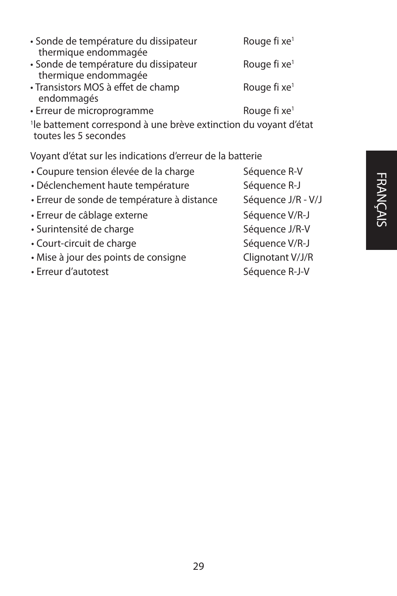| · Sonde de température du dissipateur                         | Rouge fi $xe^1$          |
|---------------------------------------------------------------|--------------------------|
| thermique endommagée<br>· Sonde de température du dissipateur | Rouge fi $xe^1$          |
| thermique endommagée                                          |                          |
| • Transistors MOS à effet de champ                            | Rouge fi $xe^1$          |
| endommagés<br>$\cdot$ Erreur de microprogramme                | Pouge fi xe <sup>1</sup> |

• Erreur de microprogramme<br>'le battement correspond à une brève extinction du voyant d'état toutes les 5 secondes

Voyant d'état sur les indications d'erreur de la batterie

| • Coupure tension élevée de la charge       | Séquence R-V       |
|---------------------------------------------|--------------------|
| · Déclenchement haute température           | Séquence R-J       |
| · Erreur de sonde de température à distance | Séquence J/R - V/J |
| · Erreur de câblage externe                 | Séquence V/R-J     |
| · Surintensité de charge                    | Séquence J/R-V     |
| • Court-circuit de charge                   | Séquence V/R-J     |
| · Mise à jour des points de consigne        | Clignotant V/J/R   |
| • Erreur d'autotest                         | Séquence R-J-V     |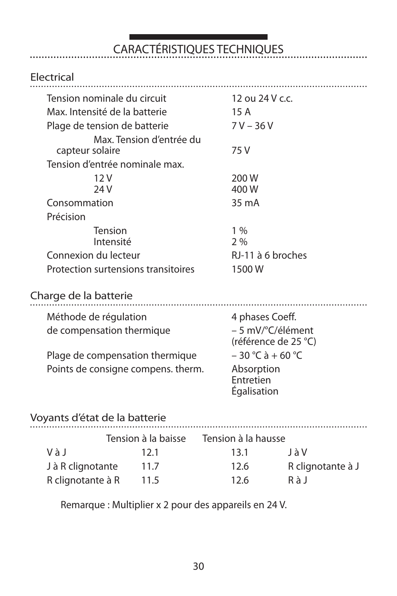# CARACTÉRISTIQUES TECHNIQUES

| Electrical                          |                          |                 |                                        |                                           |
|-------------------------------------|--------------------------|-----------------|----------------------------------------|-------------------------------------------|
| Tension nominale du circuit         |                          | 12 ou 24 V c.c. |                                        |                                           |
| Max. Intensité de la batterie       |                          | 15A             |                                        |                                           |
| Plage de tension de batterie        |                          |                 | $7V - 36V$                             |                                           |
| capteur solaire                     | Max. Tension d'entrée du |                 | 75 V                                   |                                           |
| Tension d'entrée nominale max.      |                          |                 |                                        |                                           |
| 12V<br>24 V                         |                          |                 | 200 W<br>400W                          |                                           |
| Consommation                        |                          |                 | 35 mA                                  |                                           |
| Précision                           |                          |                 |                                        |                                           |
| Tension<br>Intensité                |                          |                 | 1%<br>2%                               |                                           |
| Connexion du lecteur                |                          |                 | RJ-11 à 6 broches                      |                                           |
| Protection surtensions transitoires |                          |                 | 1500W                                  |                                           |
| Charge de la batterie               |                          |                 |                                        |                                           |
| Méthode de régulation               |                          |                 | 4 phases Coeff.                        |                                           |
| de compensation thermique           |                          |                 |                                        | - 5 mV/°C/élément<br>(référence de 25 °C) |
| Plage de compensation thermique     |                          |                 | $-30 °C \text{ à } +60 °C$             |                                           |
| Points de consigne compens. therm.  |                          |                 | Absorption<br>Entretien<br>Égalisation |                                           |
| Voyants d'état de la batterie       |                          |                 |                                        |                                           |
|                                     | Tension à la baisse      |                 | Tension à la hausse                    |                                           |
| VàJ                                 | 12.1                     |                 | 13.1                                   | JàV                                       |
| J à R clignotante                   | 11.7                     |                 | 12.6                                   | R clignotante à J                         |
| R clignotante à R                   | 11.5                     |                 | 12.6                                   | RàJ                                       |

Remarque : Multiplier x 2 pour des appareils en 24 V.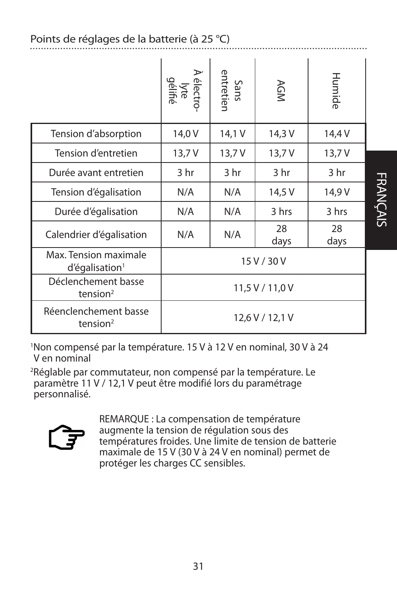### Points de réglages de la batterie (à 25 °C)

|                                                        | ⋗<br>i électro<br>lyte<br>gélifié | Sans<br>entretien | AGM        | Humide     |
|--------------------------------------------------------|-----------------------------------|-------------------|------------|------------|
| Tension d'absorption                                   | 14,0 V                            | 14,1 V            | 14,3 V     | 14,4 V     |
| Tension d'entretien                                    | 13,7V                             | 13,7V             | 13,7V      | 13,7V      |
| Durée avant entretien                                  | 3 hr                              | 3 hr              | 3 hr       | 3 hr       |
| Tension d'égalisation                                  | N/A                               | N/A               | 14,5 V     | 14,9 V     |
| Durée d'égalisation                                    | N/A                               | N/A               | 3 hrs      | 3 hrs      |
| Calendrier d'égalisation                               | N/A                               | N/A               | 28<br>days | 28<br>days |
| Max. Tension maximale<br>$d'$ égalisation <sup>1</sup> | 15 V / 30 V                       |                   |            |            |
| Déclenchement basse<br>tension $2$                     | 11,5 V / 11,0 V                   |                   |            |            |
| Réenclenchement basse<br>tension $2$                   | 12,6 V / 12,1 V                   |                   |            |            |

1 Non compensé par la température. 15 V à 12 V en nominal, 30 V à 24 V en nominal

2 Réglable par commutateur, non compensé par la température. Le paramètre 11 V / 12,1 V peut être modifié lors du paramétrage personnalisé.



REMARQUE : La compensation de température augmente la tension de régulation sous des températures froides. Une limite de tension de batterie maximale de 15 V (30 V à 24 V en nominal) permet de protéger les charges CC sensibles.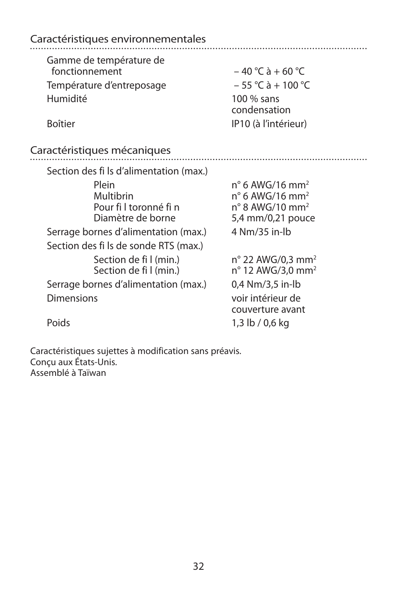| Caractéristiques environnementales                                                 |                                                                                                                                           |
|------------------------------------------------------------------------------------|-------------------------------------------------------------------------------------------------------------------------------------------|
| Gamme de température de<br>fonctionnement<br>Température d'entreposage<br>Humidité | $-40\degree$ C à $+60\degree$ C<br>$-55$ °C à + 100 °C<br>100 % sans<br>condensation                                                      |
| <b>Boîtier</b>                                                                     | IP10 (à l'intérieur)                                                                                                                      |
| Caractéristiques mécaniques                                                        |                                                                                                                                           |
| Section des fils d'alimentation (max.)                                             |                                                                                                                                           |
| Plein<br>Multibrin<br>Pour fil toronné fi n<br>Diamètre de borne                   | $n^{\circ}$ 6 AWG/16 mm <sup>2</sup><br>$n^{\circ}$ 6 AWG/16 mm <sup>2</sup><br>$n^{\circ}$ 8 AWG/10 mm <sup>2</sup><br>5,4 mm/0,21 pouce |
| Serrage bornes d'alimentation (max.)                                               | 4 Nm/35 in-lb                                                                                                                             |
| Section des fi ls de sonde RTS (max.)                                              |                                                                                                                                           |
| Section de fi l (min.)<br>Section de fi l (min.)                                   | n° 22 AWG/0,3 mm <sup>2</sup><br>n° 12 AWG/3,0 mm <sup>2</sup>                                                                            |
| Serrage bornes d'alimentation (max.)                                               | 0,4 Nm/3,5 in-lb                                                                                                                          |
| <b>Dimensions</b>                                                                  | voir intérieur de<br>couverture avant                                                                                                     |
| Poids                                                                              | 1,3 lb / 0,6 kg                                                                                                                           |
|                                                                                    |                                                                                                                                           |

Caractéristiques sujettes à modification sans préavis. Conçu aux États-Unis. Assemblé à Taïwan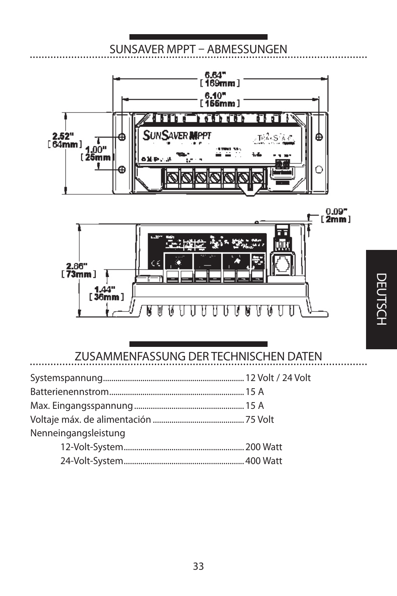SUNSAVER MPPT – ABMESSUNGEN





# ZUSAMMENFASSUNG DER TECHNISCHEN DATEN

| Nenneingangsleistung |  |
|----------------------|--|
|                      |  |
|                      |  |
|                      |  |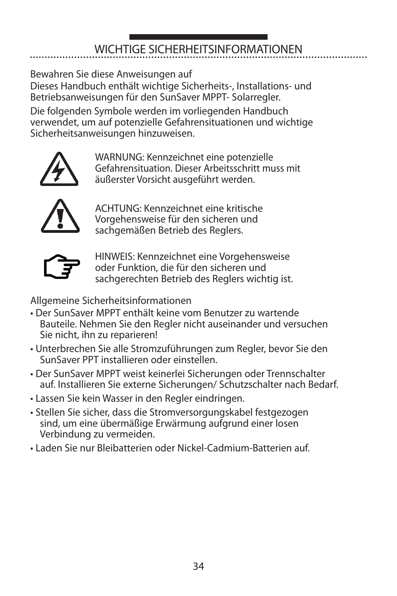# WICHTIGE SICHERHEITSINFORMATIONEN

Bewahren Sie diese Anweisungen auf

Dieses Handbuch enthält wichtige Sicherheits-, Installations- und Betriebsanweisungen für den SunSaver MPPT- Solarregler.

Die folgenden Symbole werden im vorliegenden Handbuch verwendet, um auf potenzielle Gefahrensituationen und wichtige Sicherheitsanweisungen hinzuweisen.



WARNUNG: Kennzeichnet eine potenzielle Gefahrensituation. Dieser Arbeitsschritt muss mit äußerster Vorsicht ausgeführt werden.



ACHTUNG: Kennzeichnet eine kritische Vorgehensweise für den sicheren und sachgemäßen Betrieb des Reglers.



HINWEIS: Kennzeichnet eine Vorgehensweise oder Funktion, die für den sicheren und sachgerechten Betrieb des Reglers wichtig ist.

Allgemeine Sicherheitsinformationen

- Der SunSaver MPPT enthält keine vom Benutzer zu wartende Bauteile. Nehmen Sie den Regler nicht auseinander und versuchen Sie nicht, ihn zu reparieren!
- Unterbrechen Sie alle Stromzuführungen zum Regler, bevor Sie den SunSaver PPT installieren oder einstellen.
- Der SunSaver MPPT weist keinerlei Sicherungen oder Trennschalter auf. Installieren Sie externe Sicherungen/ Schutzschalter nach Bedarf.
- Lassen Sie kein Wasser in den Regler eindringen.
- Stellen Sie sicher, dass die Stromversorgungskabel festgezogen sind, um eine übermäßige Erwärmung aufgrund einer losen Verbindung zu vermeiden.
- Laden Sie nur Bleibatterien oder Nickel-Cadmium-Batterien auf.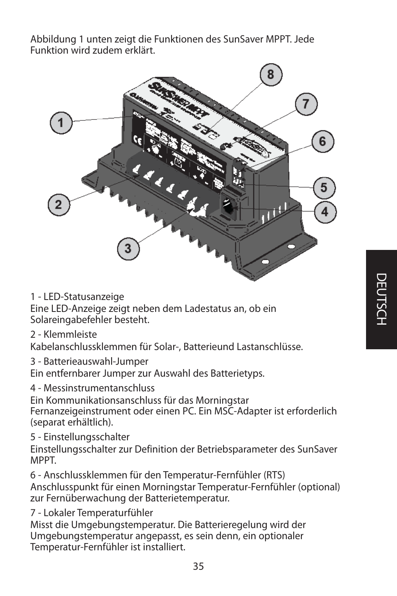Abbildung 1 unten zeigt die Funktionen des SunSaver MPPT. Jede Funktion wird zudem erklärt.



1 - LED-Statusanzeige

Eine LED-Anzeige zeigt neben dem Ladestatus an, ob ein Solareingabefehler besteht.

2 - Klemmleiste

Kabelanschlussklemmen für Solar-, Batterieund Lastanschlüsse.

3 - Batterieauswahl-Jumper

Ein entfernbarer Jumper zur Auswahl des Batterietyps.

4 - Messinstrumentanschluss

Ein Kommunikationsanschluss für das Morningstar

Fernanzeigeinstrument oder einen PC. Ein MSC-Adapter ist erforderlich (separat erhältlich).

5 - Einstellungsschalter

Einstellungsschalter zur Definition der Betriebsparameter des SunSaver MPPT.

6 - Anschlussklemmen für den Temperatur-Fernfühler (RTS) Anschlusspunkt für einen Morningstar Temperatur-Fernfühler (optional) zur Fernüberwachung der Batterietemperatur.

7 - Lokaler Temperaturfühler

Misst die Umgebungstemperatur. Die Batterieregelung wird der Umgebungstemperatur angepasst, es sein denn, ein optionaler Temperatur-Fernfühler ist installiert.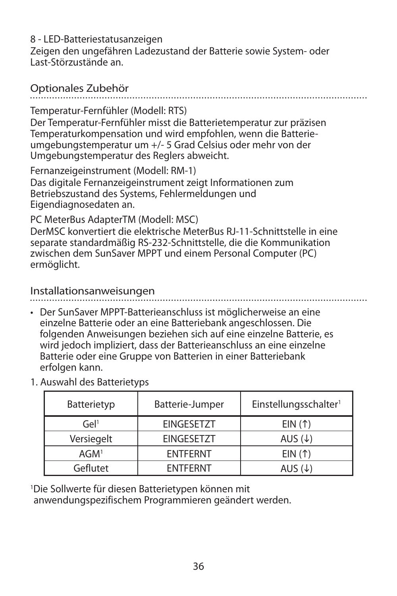### 8 - LED-Batteriestatusanzeigen

Zeigen den ungefähren Ladezustand der Batterie sowie System- oder Last-Störzustände an.

# Optionales Zubehör

Temperatur-Fernfühler (Modell: RTS)

Der Temperatur-Fernfühler misst die Batterietemperatur zur präzisen Temperaturkompensation und wird empfohlen, wenn die Batterieumgebungstemperatur um +/- 5 Grad Celsius oder mehr von der Umgebungstemperatur des Reglers abweicht.

Fernanzeigeinstrument (Modell: RM-1)

Das digitale Fernanzeigeinstrument zeigt Informationen zum Betriebszustand des Systems, Fehlermeldungen und Eigendiagnosedaten an.

PC MeterBus AdapterTM (Modell: MSC)

DerMSC konvertiert die elektrische MeterBus RJ-11-Schnittstelle in eine separate standardmäßig RS-232-Schnittstelle, die die Kommunikation zwischen dem SunSaver MPPT und einem Personal Computer (PC) ermöglicht.

### Installationsanweisungen

• Der SunSaver MPPT-Batterieanschluss ist möglicherweise an eine einzelne Batterie oder an eine Batteriebank angeschlossen. Die folgenden Anweisungen beziehen sich auf eine einzelne Batterie, es wird jedoch impliziert, dass der Batterieanschluss an eine einzelne Batterie oder eine Gruppe von Batterien in einer Batteriebank erfolgen kann.

| Batterietyp      | Batterie-Jumper   | Einstellungsschalter <sup>1</sup> |
|------------------|-------------------|-----------------------------------|
| Ge <sup>1</sup>  | <b>EINGESETZT</b> | EIN(T)                            |
| Versiegelt       | <b>EINGESETZT</b> | AUS $(\downarrow)$                |
| AGM <sup>1</sup> | <b>ENTFERNT</b>   | EIN(T)                            |
| Geflutet         | <b>FNTFFRNT</b>   | AUS $(\downarrow)$                |

1. Auswahl des Batterietyps

1 Die Sollwerte für diesen Batterietypen können mit

anwendungspezifischem Programmieren geändert werden.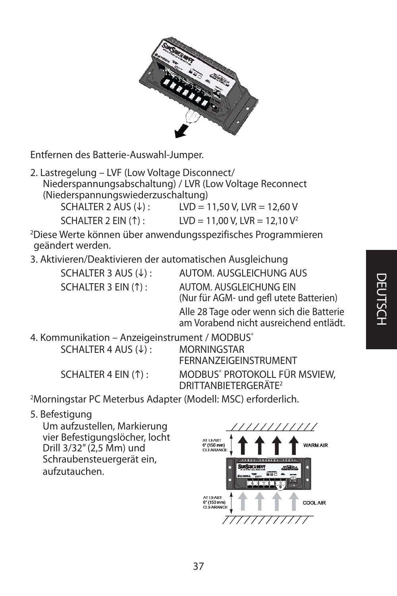

Entfernen des Batterie-Auswahl-Jumper.

| 2. Lastregelung – LVF (Low Voltage Disconnect/           |                                   |  |  |
|----------------------------------------------------------|-----------------------------------|--|--|
| Niederspannungsabschaltung) / LVR (Low Voltage Reconnect |                                   |  |  |
| (Niederspannungswiederzuschaltung)                       |                                   |  |  |
| SCHALTER 2 AUS $(\downarrow)$ :                          | $LVD = 11.50 V$ , $LVR = 12.60 V$ |  |  |

SCHALTER 2 EIN (1) : LVD = 11,00 V, LVR = 12,10 V<sup>2</sup>

2 Diese Werte können über anwendungsspezifisches Programmieren geändert werden.

3. Aktivieren/Deaktivieren der automatischen Ausgleichung

SCHALTER 3 EIN (1): AUTOM. AUSGLEICHUNG EIN

SCHALTER 3 AUS (↓) : AUTOM. AUSGLEICHUNG AUS

(Nur für AGM- und gefl utete Batterien)

 Alle 28 Tage oder wenn sich die Batterie am Vorabend nicht ausreichend entlädt.

4. Kommunikation – Anzeigeinstrument / MODBUS®  $SCHALTER 4 AUS  $(1)$  : MORNINGSTAR$ 

 $SCHALTER 4 EIN (1):$ 

 FERNANZEIGEINSTRUMENT MODRUS<sup>®</sup> PROTOKOLL FÜR MSVIEW DRITTANBIETERGERÄTE2

2 Morningstar PC Meterbus Adapter (Modell: MSC) erforderlich.

5. Befestigung

Um aufzustellen, Markierung vier Befestigungslöcher, locht Drill 3/32" (2,5 Mm) und Schraubensteuergerät ein, aufzutauchen.

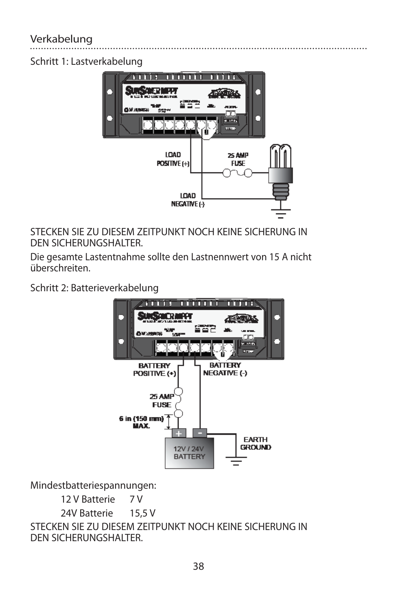### Verkabelung

Schritt 1: Lastverkabelung



STECKEN SIE ZU DIESEM ZEITPUNKT NOCH KEINE SICHERUNG IN DEN SICHERUNGSHALTER.

Die gesamte Lastentnahme sollte den Lastnennwert von 15 A nicht überschreiten.

Schritt 2: Batterieverkabelung



Mindestbatteriespannungen:

12 V Batterie 7 V

24V Batterie 15,5 V

STECKEN SIE ZU DIESEM ZEITPUNKT NOCH KEINE SICHERUNG IN DEN SICHERUNGSHALTER.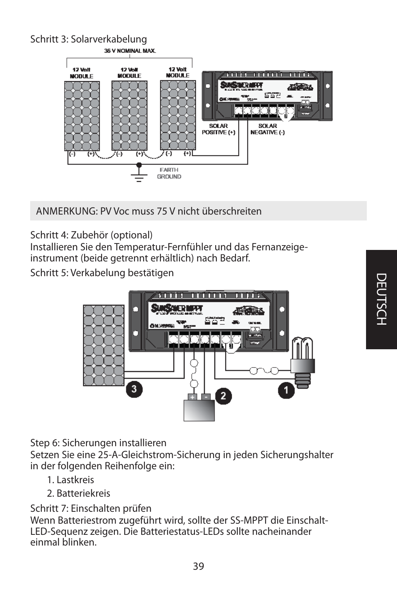### Schritt 3: Solarverkabelung



ANMERKUNG: PV Voc muss 75 V nicht überschreiten

Schritt 4: Zubehör (optional)

Installieren Sie den Temperatur-Fernfühler und das Fernanzeigeinstrument (beide getrennt erhältlich) nach Bedarf.

Schritt 5: Verkabelung bestätigen



Step 6: Sicherungen installieren

Setzen Sie eine 25-A-Gleichstrom-Sicherung in jeden Sicherungshalter in der folgenden Reihenfolge ein:

- 1. Lastkreis
- 2. Batteriekreis

Schritt 7: Einschalten prüfen

Wenn Batteriestrom zugeführt wird, sollte der SS-MPPT die Einschalt-LED-Sequenz zeigen. Die Batteriestatus-LEDs sollte nacheinander einmal blinken.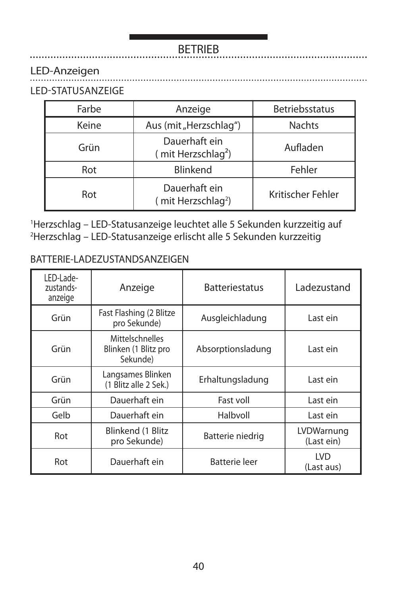### BETRIEB

. . . . . . . . . . . . . . . . . . .

# LED-Anzeigen

### LED-STATUSANZEIGE

| Farbe | Anzeige                                         | <b>Betriebsstatus</b> |
|-------|-------------------------------------------------|-----------------------|
| Keine | Aus (mit "Herzschlag")                          | <b>Nachts</b>         |
| Grün  | Dauerhaft ein<br>(mit Herzschlag <sup>2</sup> ) | Aufladen              |
| Rot   | Blinkend                                        | Fehler                |
| Rot   | Dauerhaft ein<br>(mit Herzschlag <sup>2</sup> ) | Kritischer Fehler     |

1 Herzschlag – LED-Statusanzeige leuchtet alle 5 Sekunden kurzzeitig auf 2 Herzschlag – LED-Statusanzeige erlischt alle 5 Sekunden kurzzeitig

### BATTERIE-LADEZUSTANDSANZEIGEN

| LED-Lade-<br>zustands-<br>anzeige | Anzeige                                                    | <b>Batteriestatus</b> | Ladezustand              |
|-----------------------------------|------------------------------------------------------------|-----------------------|--------------------------|
| Grün                              | Fast Flashing (2 Blitze<br>pro Sekunde)                    | Ausgleichladung       | Last ein                 |
| Grün                              | <b>Mittelschnelles</b><br>Blinken (1 Blitz pro<br>Sekunde) | Absorptionsladung     | Last ein                 |
| Grün                              | Langsames Blinken<br>(1 Blitz alle 2 Sek.)                 | Erhaltungsladung      | Last ein                 |
| Grün                              | Dauerhaft ein                                              | Fast voll             | Last ein                 |
| Gelb                              | Dauerhaft ein                                              | Halbvoll              | Last ein                 |
| Rot                               | Blinkend (1 Blitz<br>pro Sekunde)                          | Batterie niedrig      | LVDWarnung<br>(Last ein) |
| Rot                               | Dauerhaft ein                                              | <b>Batterie</b> leer  | <b>LVD</b><br>(Last aus) |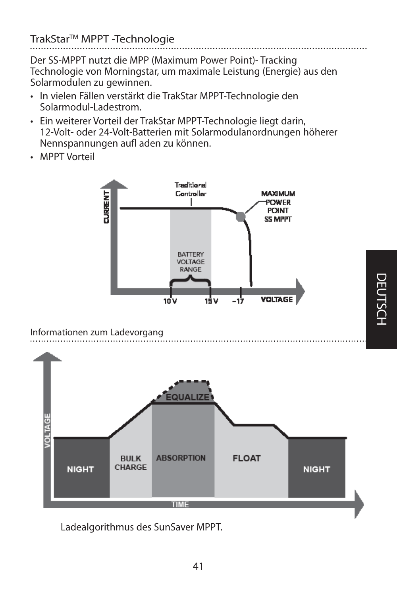Der SS-MPPT nutzt die MPP (Maximum Power Point)- Tracking Technologie von Morningstar, um maximale Leistung (Energie) aus den Solarmodulen zu gewinnen.

- In vielen Fällen verstärkt die TrakStar MPPT-Technologie den Solarmodul-Ladestrom.
- Ein weiterer Vorteil der TrakStar MPPT-Technologie liegt darin, 12-Volt- oder 24-Volt-Batterien mit Solarmodulanordnungen höherer Nennspannungen aufl aden zu können.
- • MPPT Vorteil



Informationen zum Ladevorgang



Ladealgorithmus des SunSaver MPPT.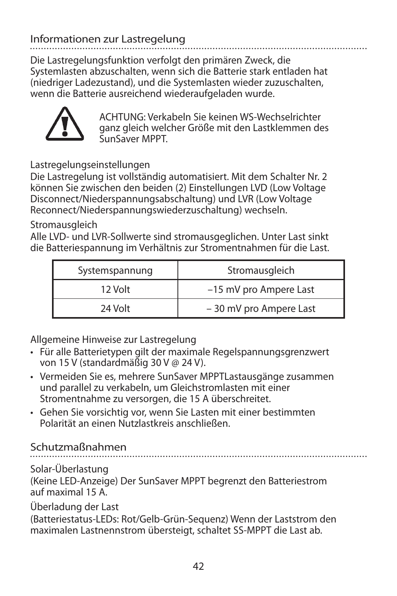Die Lastregelungsfunktion verfolgt den primären Zweck, die Systemlasten abzuschalten, wenn sich die Batterie stark entladen hat (niedriger Ladezustand), und die Systemlasten wieder zuzuschalten, wenn die Batterie ausreichend wiederaufgeladen wurde.



ACHTUNG: Verkabeln Sie keinen WS-Wechselrichter ganz gleich welcher Größe mit den Lastklemmen des SunSaver MPPT.

### Lastregelungseinstellungen

Die Lastregelung ist vollständig automatisiert. Mit dem Schalter Nr. 2 können Sie zwischen den beiden (2) Einstellungen LVD (Low Voltage Disconnect/Niederspannungsabschaltung) und LVR (Low Voltage Reconnect/Niederspannungswiederzuschaltung) wechseln.

### Stromausgleich

Alle LVD- und LVR-Sollwerte sind stromausgeglichen. Unter Last sinkt die Batteriespannung im Verhältnis zur Stromentnahmen für die Last.

| Systemspannung | Stromausgleich          |  |
|----------------|-------------------------|--|
| 12 Volt        | -15 mV pro Ampere Last  |  |
| 24 Volt        | - 30 mV pro Ampere Last |  |

Allgemeine Hinweise zur Lastregelung

- Für alle Batterietypen gilt der maximale Regelspannungsgrenzwert von 15 V (standardmäßig 30 V @ 24 V).
- • Vermeiden Sie es, mehrere SunSaver MPPTLastausgänge zusammen und parallel zu verkabeln, um Gleichstromlasten mit einer Stromentnahme zu versorgen, die 15 A überschreitet.
- • Gehen Sie vorsichtig vor, wenn Sie Lasten mit einer bestimmten Polarität an einen Nutzlastkreis anschließen.

### Schutzmaßnahmen

Solar-Überlastung

(Keine LED-Anzeige) Der SunSaver MPPT begrenzt den Batteriestrom auf maximal 15 A.

Überladung der Last

(Batteriestatus-LEDs: Rot/Gelb-Grün-Sequenz) Wenn der Laststrom den maximalen Lastnennstrom übersteigt, schaltet SS-MPPT die Last ab.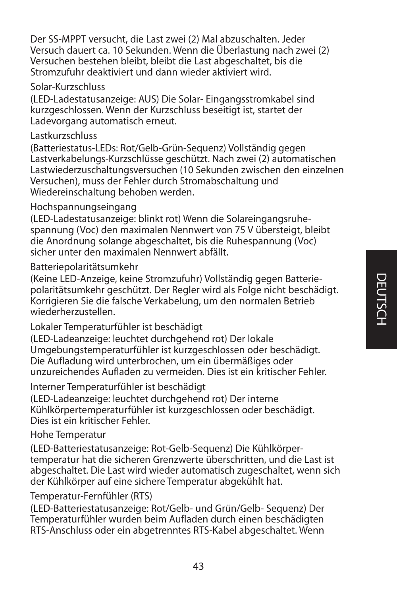Der SS-MPPT versucht, die Last zwei (2) Mal abzuschalten. Jeder Versuch dauert ca. 10 Sekunden. Wenn die Überlastung nach zwei (2) Versuchen bestehen bleibt, bleibt die Last abgeschaltet, bis die Stromzufuhr deaktiviert und dann wieder aktiviert wird.

#### Solar-Kurzschluss

(LED-Ladestatusanzeige: AUS) Die Solar- Eingangsstromkabel sind kurzgeschlossen. Wenn der Kurzschluss beseitigt ist, startet der Ladevorgang automatisch erneut.

#### Lastkurzschluss

(Batteriestatus-LEDs: Rot/Gelb-Grün-Sequenz) Vollständig gegen Lastverkabelungs-Kurzschlüsse geschützt. Nach zwei (2) automatischen Lastwiederzuschaltungsversuchen (10 Sekunden zwischen den einzelnen Versuchen), muss der Fehler durch Stromabschaltung und Wiedereinschaltung behoben werden.

#### Hochspannungseingang

(LED-Ladestatusanzeige: blinkt rot) Wenn die Solareingangsruhespannung (Voc) den maximalen Nennwert von 75 V übersteigt, bleibt die Anordnung solange abgeschaltet, bis die Ruhespannung (Voc) sicher unter den maximalen Nennwert abfällt.

### Batteriepolaritätsumkehr

(Keine LED-Anzeige, keine Stromzufuhr) Vollständig gegen Batteriepolaritätsumkehr geschützt. Der Regler wird als Folge nicht beschädigt. Korrigieren Sie die falsche Verkabelung, um den normalen Betrieb wiederherzustellen.

Lokaler Temperaturfühler ist beschädigt

(LED-Ladeanzeige: leuchtet durchgehend rot) Der lokale Umgebungstemperaturfühler ist kurzgeschlossen oder beschädigt. Die Aufladung wird unterbrochen, um ein übermäßiges oder unzureichendes Aufladen zu vermeiden. Dies ist ein kritischer Fehler.

Interner Temperaturfühler ist beschädigt

(LED-Ladeanzeige: leuchtet durchgehend rot) Der interne Kühlkörpertemperaturfühler ist kurzgeschlossen oder beschädigt. Dies ist ein kritischer Fehler.

### Hohe Temperatur

(LED-Batteriestatusanzeige: Rot-Gelb-Sequenz) Die Kühlkörpertemperatur hat die sicheren Grenzwerte überschritten, und die Last ist abgeschaltet. Die Last wird wieder automatisch zugeschaltet, wenn sich der Kühlkörper auf eine sichere Temperatur abgekühlt hat.

### Temperatur-Fernfühler (RTS)

(LED-Batteriestatusanzeige: Rot/Gelb- und Grün/Gelb- Sequenz) Der Temperaturfühler wurden beim Aufladen durch einen beschädigten RTS-Anschluss oder ein abgetrenntes RTS-Kabel abgeschaltet. Wenn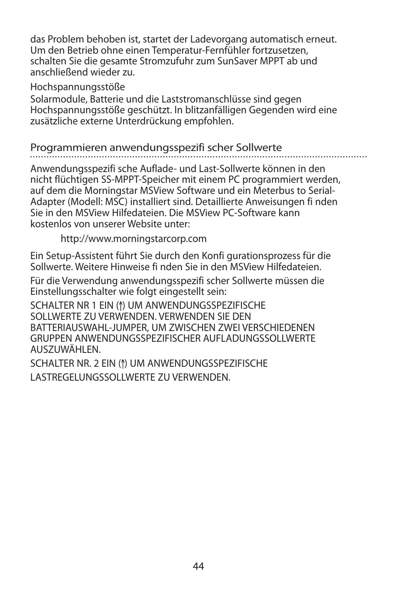das Problem behoben ist, startet der Ladevorgang automatisch erneut. Um den Betrieb ohne einen Temperatur-Fernfühler fortzusetzen, schalten Sie die gesamte Stromzufuhr zum SunSaver MPPT ab und anschließend wieder zu.

Hochspannungsstöße

Solarmodule, Batterie und die Laststromanschlüsse sind gegen Hochspannungsstöße geschützt. In blitzanfälligen Gegenden wird eine zusätzliche externe Unterdrückung empfohlen.

Programmieren anwendungsspezifi scher Sollwerte

Anwendungsspezifi sche Auflade- und Last-Sollwerte können in den nicht flüchtigen SS-MPPT-Speicher mit einem PC programmiert werden, auf dem die Morningstar MSView Software und ein Meterbus to Serial-Adapter (Modell: MSC) installiert sind. Detaillierte Anweisungen fi nden Sie in den MSView Hilfedateien. Die MSView PC-Software kann kostenlos von unserer Website unter:

http://www.morningstarcorp.com

Ein Setup-Assistent führt Sie durch den Konfi gurationsprozess für die Sollwerte. Weitere Hinweise fi nden Sie in den MSView Hilfedateien.

Für die Verwendung anwendungsspezifi scher Sollwerte müssen die Einstellungsschalter wie folgt eingestellt sein:

SCHALTER NR 1 EIN (1) UM ANWENDUNGSSPEZIFISCHE SOLLWERTE ZU VERWENDEN. VERWENDEN SIE DEN BATTERIAUSWAHL-JUMPER, UM ZWISCHEN ZWEI VERSCHIEDENEN GRUPPEN ANWENDUNGSSPEZIFISCHER AUFLADUNGSSOLLWERTE AUSZUWÄHLEN.

SCHALTER NR. 2 EIN (1) UM ANWENDUNGSSPEZIFISCHE LASTREGELUNGSSOLLWERTE ZU VERWENDEN.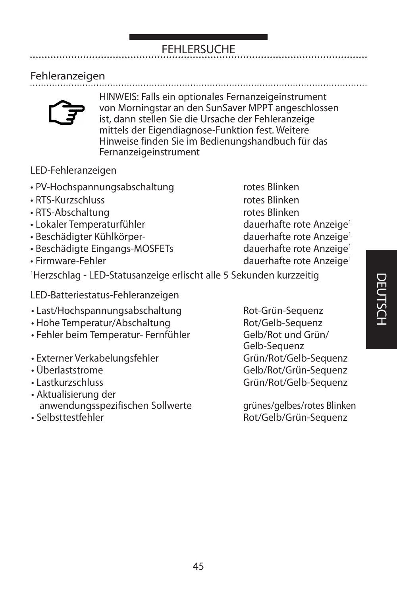# FFHI FRSUCHE

### Fehleranzeigen



- LED-Fehleranzeigen
- PV-Hochspannungsabschaltung rotes Blinken
- RTS-Kurzschluss rotes Blinken
- RTS-Abschaltung rotes Blinken
- 
- 
- Beschädigte Eingangs-MOSFETs dauerhafte rote Anzeige<sup>1</sup>
- 
- Lokaler Temperaturfühler dauerhafte rote Anzeige<sup>1</sup> • Beschädigter Kühlkörper-<br>
dauerhafte rote Anzeige<sup>1</sup> • Firmware-Fehler dauerhafte rote Anzeige<sup>1</sup>

1 Herzschlag - LED-Statusanzeige erlischt alle 5 Sekunden kurzzeitig

LED-Batteriestatus-Fehleranzeigen

- Last/Hochspannungsabschaltung Rot-Grün-Sequenz
- Hohe Temperatur/Abschaltung and Rot/Gelb-Sequenz
- Fehler beim Temperatur- Fernfühler Gelb/Rot und Grün/
- Externer Verkabelungsfehler Grün/Rot/Gelb-Sequenz
- 
- 
- Aktualisierung der
- 

Gelb-Sequenz • Überlaststrome Gelb/Rot/Grün-Sequenz • Lastkurzschluss Grün/Rot/Gelb-Sequenz

anwendungsspezifischen Sollwerte grünes/gelbes/rotes Blinken Rot/Gelb/Grün-Sequenz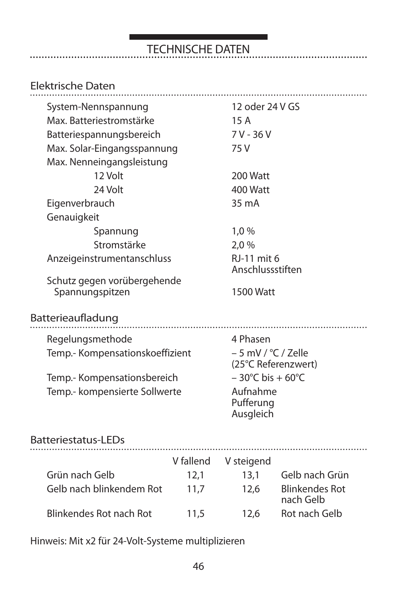# TECHNISCHE DATEN

. . . . . . . . . . . . . . . . . . .

| Elektrische Daten               |           |                                               |                       |  |
|---------------------------------|-----------|-----------------------------------------------|-----------------------|--|
| System-Nennspannung             |           | 12 oder 24 V GS                               |                       |  |
| Max. Batteriestromstärke        |           | 15 A                                          |                       |  |
| Batteriespannungsbereich        |           | $7V - 36V$                                    |                       |  |
| Max. Solar-Eingangsspannung     |           | 75 V                                          |                       |  |
| Max. Nenneingangsleistung       |           |                                               |                       |  |
| 12 Volt                         |           | 200 Watt                                      |                       |  |
| 24 Volt                         |           | 400 Watt                                      |                       |  |
| Eigenverbrauch                  |           | 35 mA                                         |                       |  |
| Genauigkeit                     |           |                                               |                       |  |
| Spannung                        |           | 1,0 %                                         |                       |  |
| Stromstärke                     |           | 2,0 %                                         |                       |  |
| Anzeigeinstrumentanschluss      |           | <b>RJ-11 mit 6</b>                            |                       |  |
| Schutz gegen vorübergehende     |           | Anschlussstiften                              |                       |  |
| Spannungspitzen                 |           | 1500 Watt                                     |                       |  |
|                                 |           |                                               |                       |  |
| Batterieaufladung               |           |                                               |                       |  |
| Regelungsmethode                |           | 4 Phasen                                      |                       |  |
| Temp.- Kompensationskoeffizient |           | $-5$ mV / $°C$ / Zelle<br>(25°C Referenzwert) |                       |  |
| Temp.- Kompensationsbereich     |           | $-30^{\circ}$ C bis + 60 $^{\circ}$ C         |                       |  |
| Temp.- kompensierte Sollwerte   |           | Aufnahme                                      |                       |  |
|                                 |           | Pufferung                                     |                       |  |
|                                 |           | Ausgleich                                     |                       |  |
| Batteriestatus-LEDs             |           |                                               |                       |  |
|                                 | V fallend | V steigend                                    |                       |  |
| Grün nach Gelb                  | 12,1      | 13,1                                          | Gelb nach Grün        |  |
| Gelb nach blinkendem Rot        | 11,7      | 12,6                                          | <b>Blinkendes Rot</b> |  |
|                                 |           |                                               | nach Gelb             |  |
| Blinkendes Rot nach Rot         | 11.5      | 12,6                                          | Rot nach Gelb         |  |
|                                 |           |                                               |                       |  |

Hinweis: Mit x2 für 24-Volt-Systeme multiplizieren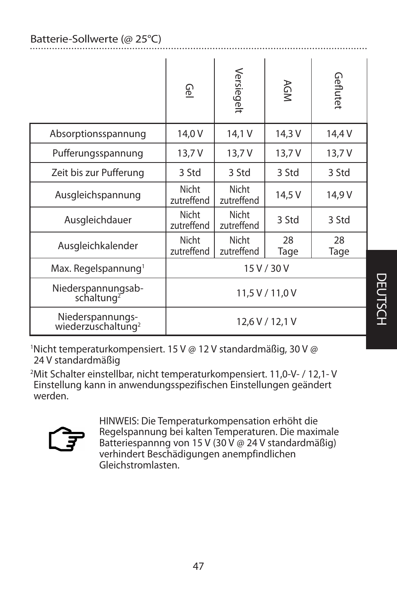### Batterie-Sollwerte (@ 25°C)

|                                                    | Gel                 | Versiegelt                 | <b>AGM</b> | Geflutet   |
|----------------------------------------------------|---------------------|----------------------------|------------|------------|
| Absorptionsspannung                                | 14,0 V              | 14,1 V                     | 14,3 V     | 14,4 V     |
| Pufferungsspannung                                 | 13,7V               | 13,7V                      | 13,7V      | 13,7V      |
| Zeit bis zur Pufferung                             | 3 Std               | 3 Std                      | 3 Std      | 3 Std      |
| Ausgleichspannung                                  | Nicht<br>zutreffend | Nicht<br>zutreffend        | 14,5 V     | 14,9 V     |
| Ausgleichdauer                                     | Nicht<br>zutreffend | <b>Nicht</b><br>zutreffend | 3 Std      | 3 Std      |
| Ausgleichkalender                                  | Nicht<br>zutreffend | Nicht<br>zutreffend        | 28<br>Tage | 28<br>Tage |
| Max. Regelspannung <sup>1</sup>                    | 15 V / 30 V         |                            |            |            |
| Niederspannungsab-<br>schaltung <sup>2</sup>       | 11,5 V / 11,0 V     |                            |            |            |
| Niederspannungs-<br>wiederzuschaltung <sup>2</sup> | 12,6 V / 12,1 V     |                            |            |            |

1 Nicht temperaturkompensiert. 15 V @ 12 V standardmäßig, 30 V @ 24 V standardmäßig

2 Mit Schalter einstellbar, nicht temperaturkompensiert. 11,0-V- / 12,1- V Einstellung kann in anwendungsspezifischen Einstellungen geändert werden.



HINWEIS: Die Temperaturkompensation erhöht die Regelspannung bei kalten Temperaturen. Die maximale Batteriespannng von 15 V (30 V @ 24 V standardmäßig) verhindert Beschädigungen anempfindlichen Gleichstromlasten.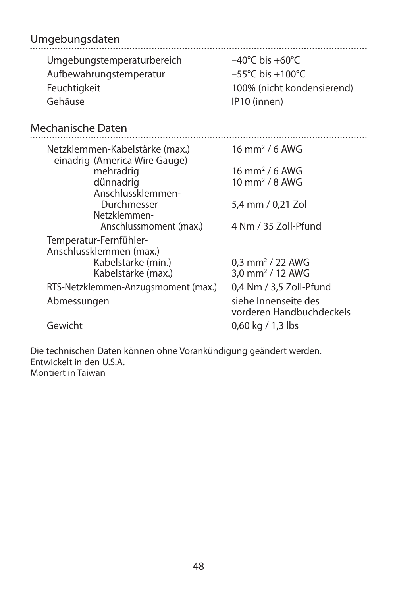| Umgebungsdaten<br>Umgebungstemperaturbereich<br>Aufbewahrungstemperatur<br>Feuchtigkeit<br>Gehäuse | $-40^{\circ}$ C bis $+60^{\circ}$ C<br>$-55^{\circ}$ C bis +100 $^{\circ}$ C<br>100% (nicht kondensierend)<br>IP10 (innen) |
|----------------------------------------------------------------------------------------------------|----------------------------------------------------------------------------------------------------------------------------|
| Mechanische Daten                                                                                  |                                                                                                                            |
| Netzklemmen-Kabelstärke (max.)<br>einadrig (America Wire Gauge)                                    | $16 \text{ mm}^2 / 6 \text{ AWG}$                                                                                          |
| mehradrig<br>dünnadrig<br>Anschlussklemmen-                                                        | $16 \text{ mm}^2 / 6 \text{ AWG}$<br>$10 \text{ mm}^2$ / 8 AWG                                                             |
| Durchmesser<br>Netzklemmen-                                                                        | 5,4 mm / 0,21 Zol                                                                                                          |
| Anschlussmoment (max.)                                                                             | 4 Nm / 35 Zoll-Pfund                                                                                                       |
| Temperatur-Fernfühler-<br>Anschlussklemmen (max.)                                                  |                                                                                                                            |
| Kabelstärke (min.)<br>Kabelstärke (max.)                                                           | $0.3$ mm <sup>2</sup> / 22 AWG<br>3,0 mm <sup>2</sup> / 12 AWG                                                             |
| RTS-Netzklemmen-Anzugsmoment (max.)                                                                | 0,4 Nm / 3,5 Zoll-Pfund                                                                                                    |
| Abmessungen                                                                                        | siehe Innenseite des<br>vorderen Handbuchdeckels                                                                           |
| Gewicht                                                                                            | 0,60 kg / 1,3 lbs                                                                                                          |

Die technischen Daten können ohne Vorankündigung geändert werden. Entwickelt in den U.S.A. Montiert in Taiwan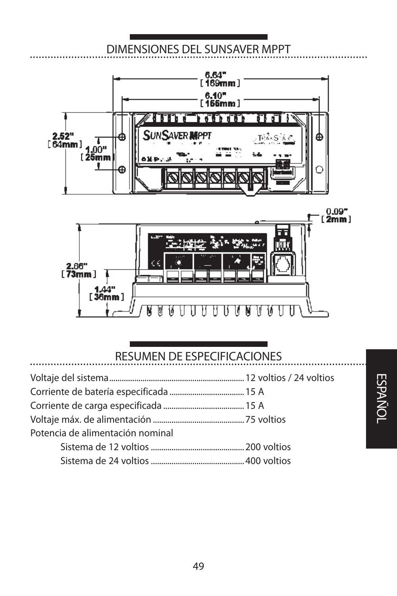DIMENSIONES DEL SUNSAVER MPPT





# RESUMEN DE ESPECIFICACIONES

| Potencia de alimentación nominal |  |
|----------------------------------|--|
|                                  |  |
|                                  |  |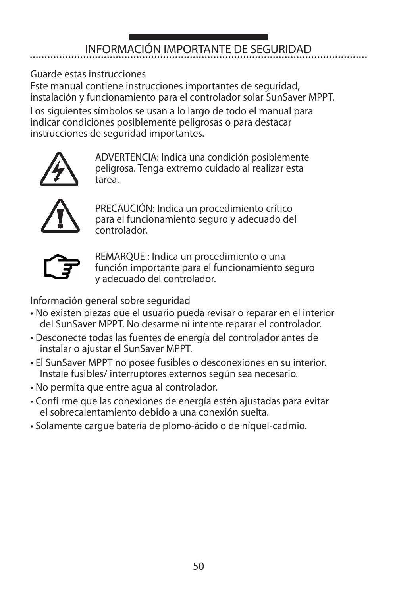# INFORMACIÓN IMPORTANTE DE SEGURIDAD

Guarde estas instrucciones

Este manual contiene instrucciones importantes de seguridad, instalación y funcionamiento para el controlador solar SunSaver MPPT.

Los siguientes símbolos se usan a lo largo de todo el manual para indicar condiciones posiblemente peligrosas o para destacar instrucciones de seguridad importantes.



ADVERTENCIA: Indica una condición posiblemente peligrosa. Tenga extremo cuidado al realizar esta tarea.



PRECAUCIÓN: Indica un procedimiento crítico para el funcionamiento seguro y adecuado del controlador.



REMARQUE : Indica un procedimiento o una función importante para el funcionamiento seguro y adecuado del controlador.

Información general sobre seguridad

- No existen piezas que el usuario pueda revisar o reparar en el interior del SunSaver MPPT. No desarme ni intente reparar el controlador.
- Desconecte todas las fuentes de energía del controlador antes de instalar o ajustar el SunSaver MPPT.
- El SunSaver MPPT no posee fusibles o desconexiones en su interior. Instale fusibles/ interruptores externos según sea necesario.
- No permita que entre agua al controlador.
- Confi rme que las conexiones de energía estén ajustadas para evitar el sobrecalentamiento debido a una conexión suelta.
- Solamente cargue batería de plomo-ácido o de níquel-cadmio.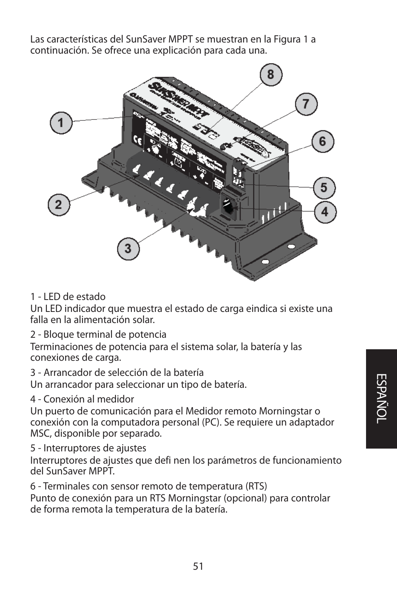Las características del SunSaver MPPT se muestran en la Figura 1 a continuación. Se ofrece una explicación para cada una.



### 1 - LED de estado

Un LED indicador que muestra el estado de carga eindica si existe una falla en la alimentación solar.

2 - Bloque terminal de potencia

Terminaciones de potencia para el sistema solar, la batería y las conexiones de carga.

3 - Arrancador de selección de la batería

Un arrancador para seleccionar un tipo de batería.

### 4 - Conexión al medidor

Un puerto de comunicación para el Medidor remoto Morningstar o conexión con la computadora personal (PC). Se requiere un adaptador MSC, disponible por separado.

5 - Interruptores de ajustes

Interruptores de ajustes que defi nen los parámetros de funcionamiento del SunSaver MPPT.

6 - Terminales con sensor remoto de temperatura (RTS)

Punto de conexión para un RTS Morningstar (opcional) para controlar de forma remota la temperatura de la batería.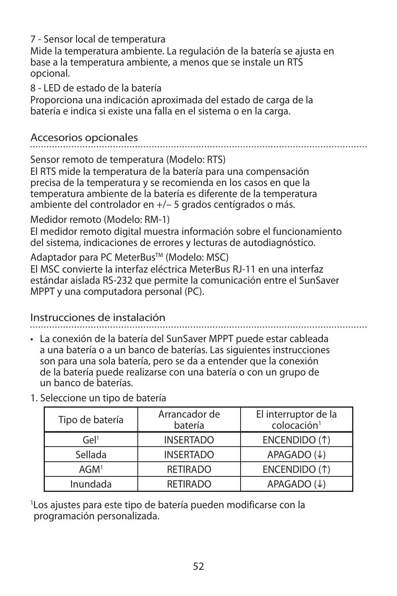### 7 - Sensor local de temperatura

Mide la temperatura ambiente. La regulación de la batería se ajusta en base a la temperatura ambiente, a menos que se instale un RTS opcional.

8 - LED de estado de la batería

Proporciona una indicación aproximada del estado de carga de la batería e indica si existe una falla en el sistema o en la carga.

### Accesorios opcionales

Sensor remoto de temperatura (Modelo: RTS)

El RTS mide la temperatura de la batería para una compensación precisa de la temperatura y se recomienda en los casos en que la temperatura ambiente de la batería es diferente de la temperatura ambiente del controlador en +/– 5 grados centígrados o más.

Medidor remoto (Modelo: RM-1)

El medidor remoto digital muestra información sobre el funcionamiento del sistema, indicaciones de errores y lecturas de autodiagnóstico.

Adaptador para PC MeterBus™ (Modelo: MSC)

El MSC convierte la interfaz eléctrica MeterBus RJ-11 en una interfaz estándar aislada RS-232 que permite la comunicación entre el SunSaver MPPT y una computadora personal (PC).

### Instrucciones de instalación

- • La conexión de la batería del SunSaver MPPT puede estar cableada a una batería o a un banco de baterías. Las siguientes instrucciones son para una sola batería, pero se da a entender que la conexión de la batería puede realizarse con una batería o con un grupo de un banco de baterías.
- 1. Seleccione un tipo de batería

| Tipo de batería  | Arrancador de<br>batería | El interruptor de la<br>colocación <sup>1</sup> |
|------------------|--------------------------|-------------------------------------------------|
| Ge <sup>1</sup>  | <b>INSERTADO</b>         | ENCENDIDO (1)                                   |
| Sellada          | <b>INSERTADO</b>         | APAGADO (↓)                                     |
| AGM <sup>1</sup> | <b>RETIRADO</b>          | ENCENDIDO (1)                                   |
| Inundada         | <b>RETIRADO</b>          | APAGADO (↓)                                     |

1 Los ajustes para este tipo de batería pueden modificarse con la programación personalizada.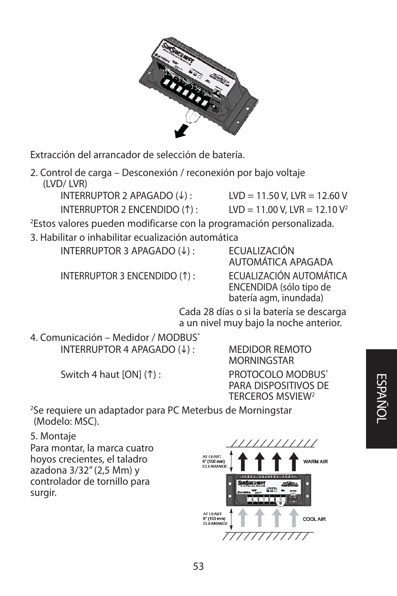

Extracción del arrancador de selección de batería.

2. Control de carga – Desconexión / reconexión por bajo voltaje (LVD/ LVR)

INTERRUPTOR 2 APAGADO ( $\downarrow$ ) : LVD = 11.50 V, LVR = 12.60 V

INTERRUPTOR 2 ENCENDIDO (1) : LVD = 11.00 V, LVR = 12.10  $V^2$ 

2 Estos valores pueden modificarse con la programación personalizada.

3. Habilitar o inhabilitar ecualización automática

INTERRUPTOR 3 APAGADO (↓) : ECUALIZACIÓN

INTERRUPTOR 3 ENCENDIDO (h) : ECUALIZACIÓN AUTOMÁTICA

AUTOMÁTICA APAGADA ENCENDIDA (sólo tipo de batería agm, inundada)

 Cada 28 días o si la batería se descarga a un nivel muy bajo la noche anterior.

4. Comunicación – Medidor / MODBUS® INTERRUPTOR 4 APAGADO (↓) : MEDIDOR REMOTO

Switch 4 haut [ON] (1) : PROTOCOLO MODBUS

MORNINGSTAR PARA DISPOSITIVOS DE TERCEROS MSVIEW2

2 Se requiere un adaptador para PC Meterbus de Morningstar (Modelo: MSC).

5. Montaje

Para montar, la marca cuatro hoyos crecientes, el taladro azadona 3/32" (2,5 Mm) y controlador de tornillo para surgir.

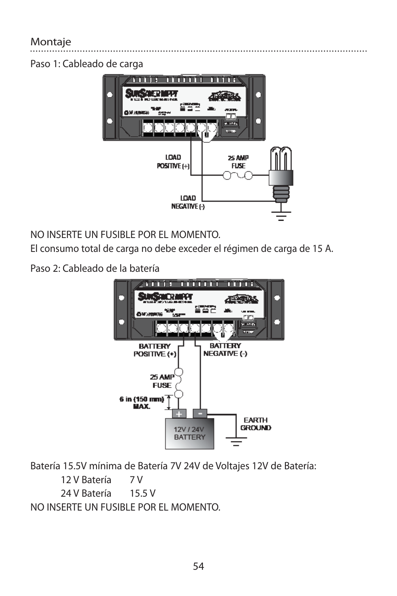Montaje

Paso 1: Cableado de carga



NO INSERTE UN FUSIBLE POR EL MOMENTO.

El consumo total de carga no debe exceder el régimen de carga de 15 A.

Paso 2: Cableado de la batería



Batería 15.5V mínima de Batería 7V 24V de Voltajes 12V de Batería: 12 V Batería 7 V 24 V Batería 15.5 V NO INSERTE UN FUSIBLE POR EL MOMENTO.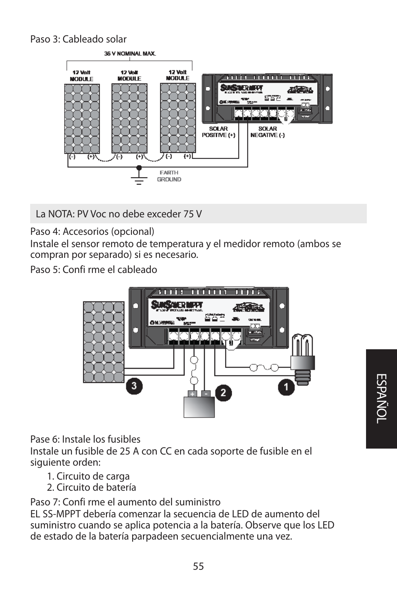### Paso 3: Cableado solar



La NOTA: PV Voc no debe exceder 75 V

Paso 4: Accesorios (opcional)

Instale el sensor remoto de temperatura y el medidor remoto (ambos se compran por separado) si es necesario.

Paso 5: Confi rme el cableado



Pase 6: Instale los fusibles

Instale un fusible de 25 A con CC en cada soporte de fusible en el siguiente orden:

- 1. Circuito de carga
- 2. Circuito de batería

Paso 7: Confi rme el aumento del suministro

EL SS-MPPT debería comenzar la secuencia de LED de aumento del suministro cuando se aplica potencia a la batería. Observe que los LED de estado de la batería parpadeen secuencialmente una vez.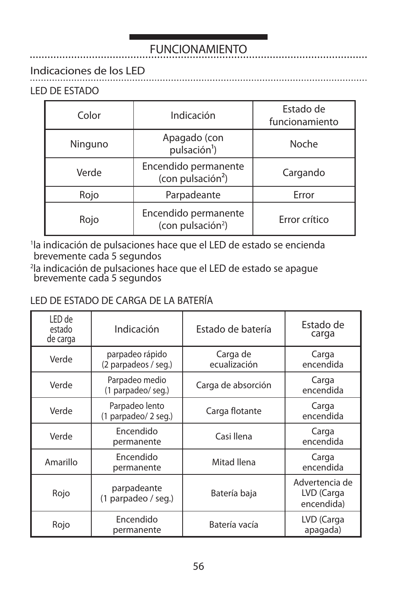# FUNCIONAMIENTO

### Indicaciones de los LED

### LED DE ESTADO

| Color   | Indicación                                                        | Estado de<br>funcionamiento |
|---------|-------------------------------------------------------------------|-----------------------------|
| Ninguno | Apagado (con<br>pulsación <sup>1</sup> )                          | Noche                       |
| Verde   | Encendido permanente<br>Cargando<br>(con pulsación <sup>2</sup> ) |                             |
| Rojo    | Parpadeante                                                       | Error                       |
| Rojo    | Encendido permanente<br>(con pulsación <sup>2</sup> )             | Error crítico               |

1 la indicación de pulsaciones hace que el LED de estado se encienda brevemente cada 5 segundos

2 la indicación de pulsaciones hace que el LED de estado se apague brevemente cada 5 segundos

### LED DE ESTADO DE CARGA DE LA BATERÍA

| LED de<br>estado<br>de carga | Indicación                              | Estado de batería        | Estado de<br>carga                         |
|------------------------------|-----------------------------------------|--------------------------|--------------------------------------------|
| Verde                        | parpadeo rápido<br>(2 parpadeos / seg.) | Carga de<br>ecualización | Carga<br>encendida                         |
| Verde                        | Parpadeo medio<br>(1 parpadeo/ seq.)    | Carga de absorción       | Carga<br>encendida                         |
| Verde                        | Parpadeo lento<br>(1 parpadeo/ 2 seg.)  | Carga flotante           | Carga<br>encendida                         |
| Verde                        | Encendido<br>permanente                 | Casi Ilena               | Carga<br>encendida                         |
| Amarillo                     | Encendido<br>permanente                 | Mitad Ilena              | Carga<br>encendida                         |
| Rojo                         | parpadeante<br>(1 parpadeo / seg.)      | Batería baja             | Advertencia de<br>LVD (Carga<br>encendida) |
| Rojo                         | Encendido<br>permanente                 | Batería vacía            | LVD (Carga<br>apagada)                     |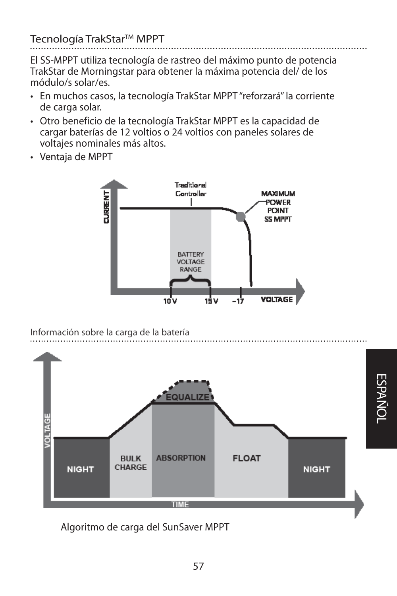El SS-MPPT utiliza tecnología de rastreo del máximo punto de potencia TrakStar de Morningstar para obtener la máxima potencia del/ de los módulo/s solar/es.

- • En muchos casos, la tecnología TrakStar MPPT "reforzará"la corriente de carga solar.
- • Otro beneficio de la tecnología TrakStar MPPT es la capacidad de cargar baterías de 12 voltios o 24 voltios con paneles solares de voltajes nominales más altos.
- • Ventaja de MPPT



Información sobre la carga de la batería



Algoritmo de carga del SunSaver MPPT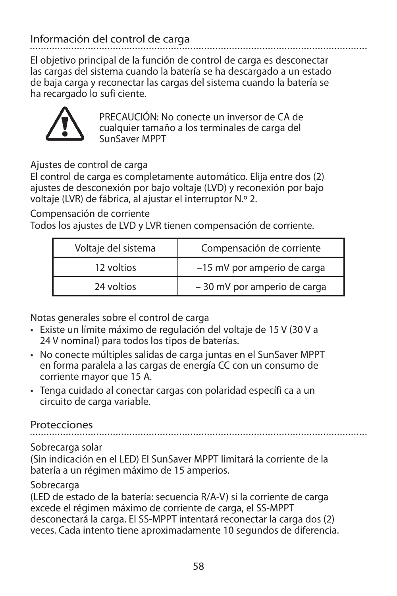Información del control de carga

El objetivo principal de la función de control de carga es desconectar las cargas del sistema cuando la batería se ha descargado a un estado de baja carga y reconectar las cargas del sistema cuando la batería se ha recargado lo sufi ciente.



PRECAUCIÓN: No conecte un inversor de CA de cualquier tamaño a los terminales de carga del SunSaver MPPT

Ajustes de control de carga

El control de carga es completamente automático. Elija entre dos (2) ajustes de desconexión por bajo voltaje (LVD) y reconexión por bajo voltaje (LVR) de fábrica, al ajustar el interruptor N.º 2.

Compensación de corriente

Todos los ajustes de LVD y LVR tienen compensación de corriente.

| Voltaje del sistema | Compensación de corriente   |
|---------------------|-----------------------------|
| 12 voltios          | -15 mV por amperio de carga |
| 24 voltios          | -30 mV por amperio de carga |

Notas generales sobre el control de carga

- • Existe un límite máximo de regulación del voltaje de 15 V (30 V a 24 V nominal) para todos los tipos de baterías.
- • No conecte múltiples salidas de carga juntas en el SunSaver MPPT en forma paralela a las cargas de energía CC con un consumo de corriente mayor que 15 A.
- Tenga cuidado al conectar cargas con polaridad específi ca a un circuito de carga variable.

**Protecciones** 

Sobrecarga solar

(Sin indicación en el LED) El SunSaver MPPT limitará la corriente de la batería a un régimen máximo de 15 amperios.

Sobrecarga

(LED de estado de la batería: secuencia R/A-V) si la corriente de carga excede el régimen máximo de corriente de carga, el SS-MPPT desconectará la carga. El SS-MPPT intentará reconectar la carga dos (2) veces. Cada intento tiene aproximadamente 10 segundos de diferencia.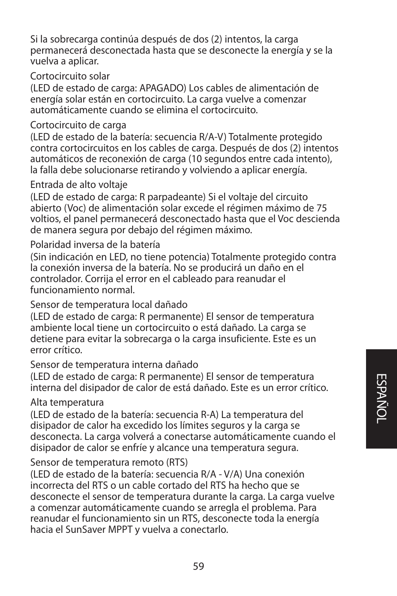Si la sobrecarga continúa después de dos (2) intentos, la carga permanecerá desconectada hasta que se desconecte la energía y se la vuelva a aplicar.

### Cortocircuito solar

(LED de estado de carga: APAGADO) Los cables de alimentación de energía solar están en cortocircuito. La carga vuelve a comenzar automáticamente cuando se elimina el cortocircuito.

### Cortocircuito de carga

(LED de estado de la batería: secuencia R/A-V) Totalmente protegido contra cortocircuitos en los cables de carga. Después de dos (2) intentos automáticos de reconexión de carga (10 segundos entre cada intento), la falla debe solucionarse retirando y volviendo a aplicar energía.

### Entrada de alto voltaje

(LED de estado de carga: R parpadeante) Si el voltaje del circuito abierto (Voc) de alimentación solar excede el régimen máximo de 75 voltios, el panel permanecerá desconectado hasta que el Voc descienda de manera segura por debajo del régimen máximo.

### Polaridad inversa de la batería

(Sin indicación en LED, no tiene potencia) Totalmente protegido contra la conexión inversa de la batería. No se producirá un daño en el controlador. Corrija el error en el cableado para reanudar el funcionamiento normal.

### Sensor de temperatura local dañado

(LED de estado de carga: R permanente) El sensor de temperatura ambiente local tiene un cortocircuito o está dañado. La carga se detiene para evitar la sobrecarga o la carga insuficiente. Este es un error crítico.

### Sensor de temperatura interna dañado

(LED de estado de carga: R permanente) El sensor de temperatura interna del disipador de calor de está dañado. Este es un error crítico.

### Alta temperatura

(LED de estado de la batería: secuencia R-A) La temperatura del disipador de calor ha excedido los límites seguros y la carga se desconecta. La carga volverá a conectarse automáticamente cuando el disipador de calor se enfríe y alcance una temperatura segura.

### Sensor de temperatura remoto (RTS)

(LED de estado de la batería: secuencia R/A - V/A) Una conexión incorrecta del RTS o un cable cortado del RTS ha hecho que se desconecte el sensor de temperatura durante la carga. La carga vuelve a comenzar automáticamente cuando se arregla el problema. Para reanudar el funcionamiento sin un RTS, desconecte toda la energía hacia el SunSaver MPPT y vuelva a conectarlo.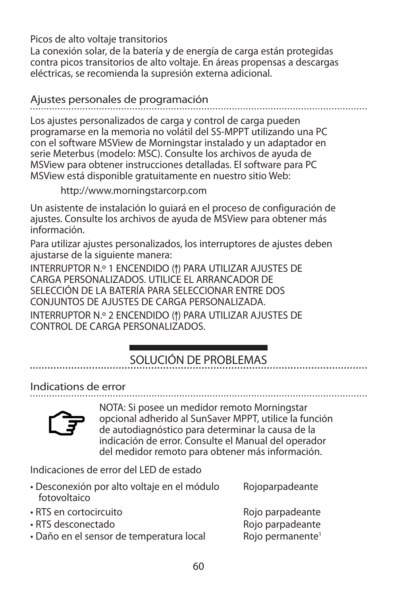Picos de alto voltaje transitorios

La conexión solar, de la batería y de energía de carga están protegidas contra picos transitorios de alto voltaje. En áreas propensas a descargas eléctricas, se recomienda la supresión externa adicional.

Ajustes personales de programación

Los ajustes personalizados de carga y control de carga pueden programarse en la memoria no volátil del SS-MPPT utilizando una PC con el software MSView de Morningstar instalado y un adaptador en serie Meterbus (modelo: MSC). Consulte los archivos de ayuda de MSView para obtener instrucciones detalladas. El software para PC MSView está disponible gratuitamente en nuestro sitio Web:

http://www.morningstarcorp.com

Un asistente de instalación lo guiará en el proceso de configuración de ajustes. Consulte los archivos de ayuda de MSView para obtener más información.

Para utilizar ajustes personalizados, los interruptores de ajustes deben ajustarse de la siguiente manera:

INTERRUPTOR N.º 1 ENCENDIDO (1) PARA UTILIZAR AJUSTES DE CARGA PERSONALIZADOS. UTILICE EL ARRANCADOR DE SELECCIÓN DE LA BATERÍA PARA SELECCIONAR ENTRE DOS CONJUNTOS DE AJUSTES DE CARGA PERSONALIZADA. INTERRUPTOR N.º 2 ENCENDIDO (1) PARA UTILIZAR AJUSTES DE CONTROL DE CARGA PERSONALIZADOS.

# SOLUCIÓN DE PROBLEMAS

### Indications de error



NOTA: Si posee un medidor remoto Morningstar opcional adherido al SunSaver MPPT, utilice la función de autodiagnóstico para determinar la causa de la indicación de error. Consulte el Manual del operador del medidor remoto para obtener más información.

Indicaciones de error del LED de estado

| · Desconexión por alto voltaje en el módulo | Rojo |
|---------------------------------------------|------|
| fotovoltaico                                |      |

- RTS en cortocircuito Rojo parpadeante
- RTS desconectado Rojo parpadeante
- Daño en el sensor de temperatura local Rojo permanente<sup>1</sup>

oparpadeante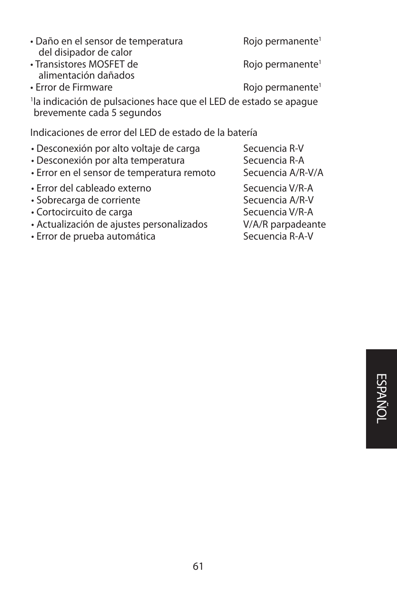• Transistores MOSFET de alimentación dañados • Error de Firmware **Rojo permanente**<sup>1</sup> 1 la indicación de pulsaciones hace que el LED de estado se apague brevemente cada 5 segundos

Indicaciones de error del LED de estado de la batería

| · Desconexión por alto voltaje de carga    | Secuencia R-V     |
|--------------------------------------------|-------------------|
| · Desconexión por alta temperatura         | Secuencia R-A     |
| · Error en el sensor de temperatura remoto | Secuencia A/R-V/A |
| • Error del cableado externo               | Secuencia V/R-A   |
| · Sobrecarga de corriente                  | Secuencia A/R-V   |
| · Cortocircuito de carga                   | Secuencia V/R-A   |
| · Actualización de ajustes personalizados  | V/A/R parpadeante |
| · Error de prueba automática               | Secuencia R-A-V   |

del disipador de calor

• Daño en el sensor de temperatura

Rojo permanente<sup>1</sup> Rojo permanente<sup>1</sup>

ESPAÑOL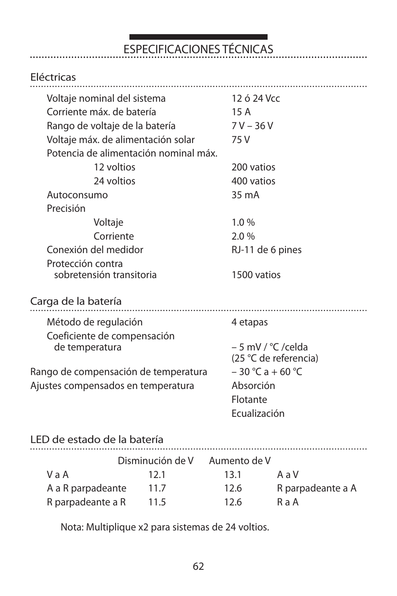# ESPECIFICACIONES TÉCNICAS

| Eléctricas                                    |                                             |
|-----------------------------------------------|---------------------------------------------|
| Voltaje nominal del sistema                   | 12 ó 24 Vcc                                 |
| Corriente máx, de batería                     | 15A                                         |
| Rango de voltaje de la batería                | $7V - 36V$                                  |
| Voltaje máx. de alimentación solar            | 75 V                                        |
| Potencia de alimentación nominal máx.         |                                             |
| 12 voltios                                    | 200 vatios                                  |
| 24 voltios                                    | 400 vatios                                  |
| Autoconsumo                                   | 35 mA                                       |
| Precisión                                     |                                             |
| Voltaje                                       | 1.0%                                        |
| Corriente                                     | 2.0%                                        |
| Conexión del medidor                          | RJ-11 de 6 pines                            |
| Protección contra<br>sobretensión transitoria | 1500 vatios                                 |
| Carga de la batería                           |                                             |
| Método de regulación                          | 4 etapas                                    |
| Coeficiente de compensación                   |                                             |
| de temperatura                                | - 5 mV / °C /celda<br>(25 °C de referencia) |
| Rango de compensación de temperatura          | $-30 °C a + 60 °C$                          |
| Ajustes compensados en temperatura            | Absorción                                   |
|                                               | Flotante                                    |
|                                               | Ecualización                                |
| LED de estado de la batería                   |                                             |
| Dicminución de V Aumente de V                 |                                             |

|                   | Disminución de V | Aumento de V |                   |
|-------------------|------------------|--------------|-------------------|
| VaA               | 12.1             | 13.1         | AaV               |
| A a R parpadeante | 11.7             | 12.6         | R parpadeante a A |
| R parpadeante a R | 11.5             | 12.6         | R a A             |

Nota: Multiplique x2 para sistemas de 24 voltios.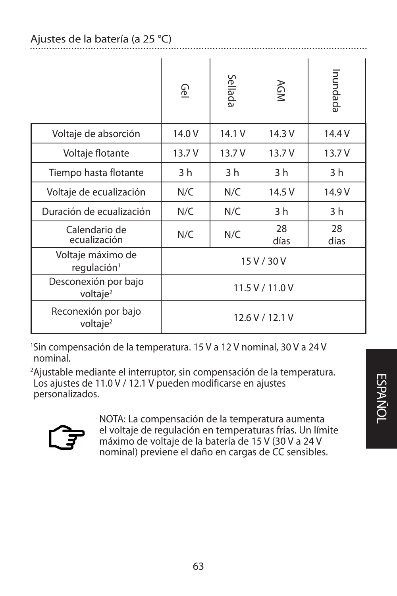### Ajustes de la batería (a 25 °C)

|                                              | Gel             | Sellada | <b>AGN</b>      | Inundada   |
|----------------------------------------------|-----------------|---------|-----------------|------------|
| Voltaje de absorción                         | 14.0 V          | 14.1 V  | 14.3 V          | 14.4 V     |
| Voltaje flotante                             | 13.7 V          | 13.7 V  | 13.7 V          | 13.7 V     |
| Tiempo hasta flotante                        | 3 h             | 3 h     | 3 <sub>h</sub>  | 3 h        |
| Voltaje de ecualización                      | N/C             | N/C     | 14.5 V          | 14.9 V     |
| Duración de ecualización                     | N/C             | N/C     | 3 <sub>h</sub>  | 3 h        |
| Calendario de<br>ecualización                | N/C             | N/C     | 28<br>días      | 28<br>días |
| Voltaje máximo de<br>regulación <sup>1</sup> | 15 V / 30 V     |         |                 |            |
| Desconexión por bajo<br>voltaje <sup>2</sup> | 11.5 V / 11.0 V |         |                 |            |
| Reconexión por bajo<br>voltaje <sup>2</sup>  |                 |         | 12.6 V / 12.1 V |            |

1 Sin compensación de la temperatura. 15 V a 12 V nominal, 30 V a 24 V nominal.

2 Ajustable mediante el interruptor, sin compensación de la temperatura. Los ajustes de 11.0 V / 12.1 V pueden modificarse en ajustes personalizados.



NOTA: La compensación de la temperatura aumenta el voltaje de regulación en temperaturas frías. Un límite máximo de voltaje de la batería de 15 V (30 V a 24 V nominal) previene el daño en cargas de CC sensibles.